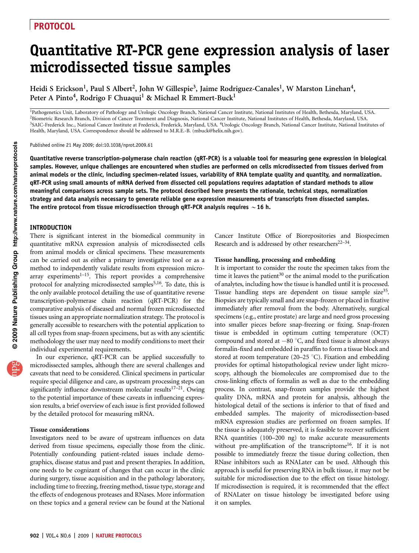# Quantitative RT-PCR gene expression analysis of laser microdissected tissue samples

Heidi S Erickson<sup>1</sup>, Paul S Albert<sup>2</sup>, John W Gillespie<sup>3</sup>, Jaime Rodriguez-Canales<sup>1</sup>, W Marston Linehan<sup>4</sup>, Peter A Pinto<sup>4</sup>, Rodrigo F Chuaqui<sup>1</sup> & Michael R Emmert-Buck<sup>1</sup>

<sup>1</sup>Pathogenetics Unit, Laboratory of Pathology and Urologic Oncology Branch, National Cancer Institute, National Institutes of Health, Bethesda, Maryland, USA. 2Biometric Research Branch, Division of Cancer Treatment and Diagnosis, National Cancer Institute, National Institutes of Health, Bethesda, Maryland, USA. <sup>3</sup>SAIC-Frederick Inc., National Cancer Institute at Frederick, Frederick, Maryland, USA. <sup>4</sup>Urologic Oncology Branch, National Cancer Institute, National Institutes of Health, Maryland, USA. Correspondence should be addressed to M.R.E.-B. (mbuck@helix.nih.gov).

Published online 21 May 2009; doi:10.1038/nprot.2009.61

Quantitative reverse transcription-polymerase chain reaction (qRT-PCR) is a valuable tool for measuring gene expression in biological samples. However, unique challenges are encountered when studies are performed on cells microdissected from tissues derived from animal models or the clinic, including specimen-related issues, variability of RNA template quality and quantity, and normalization. qRT-PCR using small amounts of mRNA derived from dissected cell populations requires adaptation of standard methods to allow meaningful comparisons across sample sets. The protocol described here presents the rationale, technical steps, normalization strategy and data analysis necessary to generate reliable gene expression measurements of transcripts from dissected samples. The entire protocol from tissue microdissection through qRT-PCR analysis requires  $\sim$  16 h.

#### INTRODUCTION

There is significant interest in the biomedical community in quantitative mRNA expression analysis of microdissected cells from animal models or clinical specimens. These measurements can be carried out as either a primary investigative tool or as a method to independently validate results from expression microarray experiments $1-15$ . This report provides a comprehensive protocol for analyzing microdissected samples<sup>5,16</sup>. To date, this is the only available protocol detailing the use of quantitative reverse transcription-polymerase chain reaction (qRT-PCR) for the comparative analysis of diseased and normal frozen microdissected tissues using an appropriate normalization strategy. The protocol is generally accessible to researchers with the potential application to all cell types from snap-frozen specimens, but as with any scientific methodology the user may need to modify conditions to meet their individual experimental requirements.

In our experience, qRT-PCR can be applied successfully to microdissected samples, although there are several challenges and caveats that need to be considered. Clinical specimens in particular require special diligence and care, as upstream processing steps can significantly influence downstream molecular results<sup>17-21</sup>. Owing to the potential importance of these caveats in influencing expression results, a brief overview of each issue is first provided followed by the detailed protocol for measuring mRNA.

#### Tissue considerations

Investigators need to be aware of upstream influences on data derived from tissue specimens, especially those from the clinic. Potentially confounding patient-related issues include demographics, disease status and past and present therapies. In addition, one needs to be cognizant of changes that can occur in the clinic during surgery, tissue acquisition and in the pathology laboratory, including time to freezing, freezing method, tissue type, storage and the effects of endogenous proteases and RNases. More information on these topics and a general review can be found at the National Cancer Institute Office of Biorepositories and Biospecimen Research and is addressed by other researchers<sup>22–34</sup>.

#### Tissue handling, processing and embedding

It is important to consider the route the specimen takes from the time it leaves the patient<sup>30</sup> or the animal model to the purification of analytes, including how the tissue is handled until it is processed. Tissue handling steps are dependent on tissue sample size<sup>35</sup>. Biopsies are typically small and are snap-frozen or placed in fixative immediately after removal from the body. Alternatively, surgical specimens (e.g., entire prostate) are large and need gross processing into smaller pieces before snap-freezing or fixing. Snap-frozen tissue is embedded in optimum cutting temperature (OCT) compound and stored at  $-80$  °C, and fixed tissue is almost always formalin-fixed and embedded in paraffin to form a tissue block and stored at room temperature (20–25  $^{\circ}$ C). Fixation and embedding provides for optimal histopathological review under light microscopy, although the biomolecules are compromised due to the cross-linking effects of formalin as well as due to the embedding process. In contrast, snap-frozen samples provide the highest quality DNA, mRNA and protein for analysis, although the histological detail of the sections is inferior to that of fixed and embedded samples. The majority of microdissection-based mRNA expression studies are performed on frozen samples. If the tissue is adequately preserved, it is feasible to recover sufficient RNA quantities (100–200 ng) to make accurate measurements without pre-amplification of the transcriptome<sup>16</sup>. If it is not possible to immediately freeze the tissue during collection, then RNase inhibitors such as RNALater can be used. Although this approach is useful for preserving RNA in bulk tissue, it may not be suitable for microdissection due to the effect on tissue histology. If microdissection is required, it is recommended that the effect of RNALater on tissue histology be investigated before using it on samples.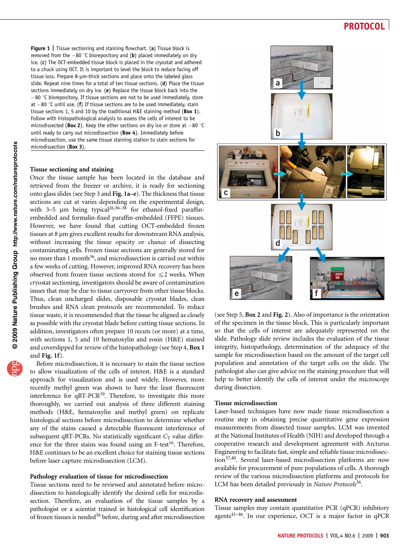Figure 1 | Tissue sectioning and staining flowchart. (a) Tissue block is removed from the  $-80$  °C biorepository and (b) placed immediately on dry ice. (c) The OCT-embedded tissue block is placed in the cryostat and adhered to a chuck using OCT. It is important to level the block to reduce facing off tissue loss. Prepare 8-µm-thick sections and place onto the labeled glass slide. Repeat nine times for a total of ten tissue sections. (d) Place the tissue sections immediately on dry ice. (e) Replace the tissue block back into the  $-80$  °C biorepository. If tissue sections are not to be used immediately, store at  $-80$  °C until use. (f) If tissue sections are to be used immediately, stain tissue sections 1, 5 and 10 by the traditional H&E staining method (Box 1). Follow with histopathological analysis to assess the cells of interest to be microdissected (Box 2). Keep the other sections on dry ice or store at  $-80$  °C until ready to carry out microdissection (Box 4). Immediately before microdissection, use the same tissue staining station to stain sections for microdissection (Box 3).

#### Tissue sectioning and staining

Once the tissue sample has been located in the database and retrieved from the freezer or archive, it is ready for sectioning onto glass slides (see Step 3 and Fig. 1a–e). The thickness that tissue sections are cut at varies depending on the experimental design, with 3–5  $\mu$ m being typical<sup>26,36–38</sup> for ethanol-fixed paraffinembedded and formalin-fixed paraffin-embedded (FFPE) tissues. However, we have found that cutting OCT-embedded frozen tissues at 8 µm gives excellent results for downstream RNA analysis, without increasing the tissue opacity or chance of dissecting contaminating cells. Frozen tissue sections are generally stored for no more than 1 month<sup>36</sup>, and microdissection is carried out within a few weeks of cutting. However, improved RNA recovery has been observed from frozen tissue sections stored for  $\leq$  2 weeks. When cryostat sectioning, investigators should be aware of contamination issues that may be due to tissue carryover from other tissue blocks. Thus, clean uncharged slides, disposable cryostat blades, clean brushes and RNA clean protocols are recommended. To reduce tissue waste, it is recommended that the tissue be aligned as closely as possible with the cryostat blade before cutting tissue sections. In addition, investigators often prepare 10 recuts (or more) at a time, with sections 1, 5 and 10 hematoxylin and eosin (H&E) stained and coverslipped for review of the histopathology (see Step 4, Box 1 and Fig. 1f).

Before microdissection, it is necessary to stain the tissue section to allow visualization of the cells of interest. H&E is a standard approach for visualization and is used widely. However, more recently methyl green was shown to have the least fluorescent interference for qRT-PCR<sup>39</sup>. Therefore, to investigate this more thoroughly, we carried out analysis of three different staining methods (H&E, hematoxylin and methyl green) on replicate histological sections before microdissection to determine whether any of the stains caused a detectable fluorescent interference of subsequent qRT-PCRs. No statistically significant  $C_T$  value difference for the three stains was found using an F-test<sup>16</sup>. Therefore, H&E continues to be an excellent choice for staining tissue sections before laser capture microdissection (LCM).

#### Pathology evaluation of tissue for microdissection

Tissue sections need to be reviewed and annotated before microdissection to histologically identify the desired cells for microdissection. Therefore, an evaluation of the tissue samples by a pathologist or a scientist trained in histological cell identification of frozen tissues is needed<sup>36</sup> before, during and after microdissection



(see Step 5, Box 2 and Fig. 2). Also of importance is the orientation of the specimen in the tissue block. This is particularly important so that the cells of interest are adequately represented on the slide. Pathology slide review includes the evaluation of the tissue integrity, histopathology, determination of the adequacy of the sample for microdissection based on the amount of the target cell population and annotation of the target cells on the slide. The pathologist also can give advice on the staining procedure that will help to better identify the cells of interest under the microscope during dissection.

#### Tissue microdissection

Laser-based techniques have now made tissue microdissection a routine step in obtaining precise quantitative gene expression measurements from dissected tissue samples. LCM was invented at the National Institutes of Health (NIH) and developed through a cooperative research and development agreement with Arcturus Engineering to facilitate fast, simple and reliable tissue microdissection<sup>37,40</sup>. Several laser-based microdissection platforms are now available for procurement of pure populations of cells. A thorough review of the various microdissection platforms and protocols for LCM has been detailed previously in Nature Protocols<sup>36</sup>.

#### RNA recovery and assessment

Tissue samples may contain quantitative PCR (qPCR) inhibitory agents<sup>41–46</sup>. In our experience, OCT is a major factor in qPCR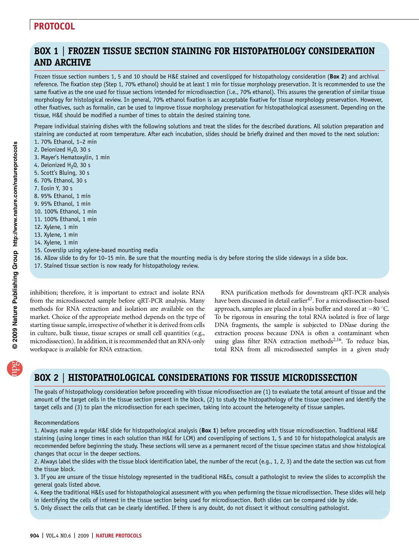## BOX 1 | FROZEN TISSUE SECTION STAINING FOR HISTOPATHOLOGY CONSIDERATION AND ARCHIVE

Frozen tissue section numbers 1, 5 and 10 should be H&E stained and coverslipped for histopathology consideration (Box 2) and archival reference. The fixation step (Step 1, 70% ethanol) should be at least 1 min for tissue morphology preservation. It is recommended to use the same fixative as the one used for tissue sections intended for microdissection (i.e., 70% ethanol). This assures the generation of similar tissue morphology for histological review. In general, 70% ethanol fixation is an acceptable fixative for tissue morphology preservation. However, other fixatives, such as formalin, can be used to improve tissue morphology preservation for histopathological assessment. Depending on the tissue, H&E should be modified a number of times to obtain the desired staining tone.

Prepare individual staining dishes with the following solutions and treat the slides for the described durations. All solution preparation and staining are conducted at room temperature. After each incubation, slides should be briefly drained and then moved to the next solution:

- 1. 70% Ethanol, 1–2 min 2. Deionized  $H<sub>2</sub>0$ , 30 s 3. Mayer's Hematoxylin, 1 min 4. Deionized  $H<sub>2</sub>0$ , 30 s 5. Scott's Bluing, 30 s 6. 70% Ethanol, 30 s 7. Eosin Y, 30 s 8. 95% Ethanol, 1 min 9. 95% Ethanol, 1 min 10. 100% Ethanol, 1 min 11. 100% Ethanol, 1 min 12. Xylene, 1 min 13. Xylene, 1 min
	- 14. Xylene, 1 min
	- 15. Coverslip using xylene-based mounting media
	- 16. Allow slide to dry for 10–15 min. Be sure that the mounting media is dry before storing the slide sideways in a slide box.
	- 17. Stained tissue section is now ready for histopathology review.

inhibition; therefore, it is important to extract and isolate RNA from the microdissected sample before qRT-PCR analysis. Many methods for RNA extraction and isolation are available on the market. Choice of the appropriate method depends on the type of starting tissue sample, irrespective of whether it is derived from cells in culture, bulk tissue, tissue scrapes or small cell quantities (e.g., microdissection). In addition, it is recommended that an RNA-only workspace is available for RNA extraction.

RNA purification methods for downstream qRT-PCR analysis have been discussed in detail earlier<sup>47</sup>. For a microdissection-based approach, samples are placed in a lysis buffer and stored at  $-80$  °C. To be rigorous in ensuring the total RNA isolated is free of large DNA fragments, the sample is subjected to DNase during the extraction process because DNA is often a contaminant when using glass filter RNA extraction methods<sup>2,16</sup>. To reduce bias, total RNA from all microdissected samples in a given study

## BOX 2 | HISTOPATHOLOGICAL CONSIDERATIONS FOR TISSUE MICRODISSECTION

The goals of histopathology consideration before proceeding with tissue microdissection are (1) to evaluate the total amount of tissue and the amount of the target cells in the tissue section present in the block, (2) to study the histopathology of the tissue specimen and identify the target cells and (3) to plan the microdissection for each specimen, taking into account the heterogeneity of tissue samples.

#### Recommendations

1. Always make a regular H&E slide for histopathological analysis (Box 1) before proceeding with tissue microdissection. Traditional H&E staining (using longer times in each solution than H&E for LCM) and coverslipping of sections 1, 5 and 10 for histopathological analysis are recommended before beginning the study. These sections will serve as a permanent record of the tissue specimen status and show histological changes that occur in the deeper sections.

2. Always label the slides with the tissue block identification label, the number of the recut (e.g., 1, 2, 3) and the date the section was cut from the tissue block.

3. If you are unsure of the tissue histology represented in the traditional H&Es, consult a pathologist to review the slides to accomplish the general goals listed above.

4. Keep the traditional H&Es used for histopathological assessment with you when performing the tissue microdissection. These slides will help in identifying the cells of interest in the tissue section being used for microdissection. Both slides can be compared side by side.

5. Only dissect the cells that can be clearly identified. If there is any doubt, do not dissect it without consulting pathologist.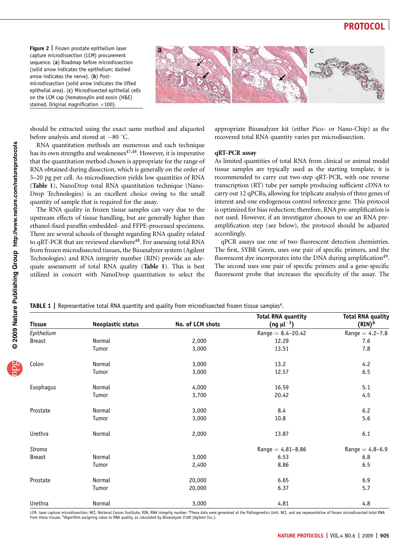**Figure 2** | Frozen prostate epithelium laser capture microdissection (LCM) procurement sequence. (a) Roadmap before microdissection (solid arrow indicates the epithelium; dashed arrow indicates the nerve). (b) Postmicrodissection (solid arrow indicates the lifted epithelial area). (c) Microdissected epithelial cells on the LCM cap (hematoxylin and eosin (H&E) stained. Original magnification  $\times 100$ ).



should be extracted using the exact same method and aliquoted before analysis and stored at  $-80$  °C.

RNA quantitation methods are numerous and each technique has its own strengths and weaknesses $47,48$ . However, it is imperative that the quantitation method chosen is appropriate for the range of RNA obtained during dissection, which is generally on the order of 5–20 pg per cell. As microdissection yields low quantities of RNA (Table 1), NanoDrop total RNA quantitation technique (Nano-Drop Technologies) is an excellent choice owing to the small quantity of sample that is required for the assay.

The RNA quality in frozen tissue samples can vary due to the upstream effects of tissue handling, but are generally higher than ethanol-fixed paraffin-embedded- and FFPE-processed specimens. There are several schools of thought regarding RNA quality related to qRT-PCR that are reviewed elsewhere<sup>48</sup>. For assessing total RNA from frozen microdissected tissues, the Bioanalyzer system (Agilent Technologies) and RNA integrity number (RIN) provide an adequate assessment of total RNA quality (Table 1). This is best utilized in concert with NanoDrop quantitation to select the appropriate Bioanalyzer kit (either Pico- or Nano-Chip) as the recovered total RNA quantity varies per microdissection.

#### qRT-PCR assay

As limited quantities of total RNA from clinical or animal model tissue samples are typically used as the starting template, it is recommended to carry out two-step qRT-PCR, with one reverse transcription (RT) tube per sample producing sufficient cDNA to carry out 12 qPCRs, allowing for triplicate analysis of three genes of interest and one endogenous control reference gene. This protocol is optimized for bias reduction; therefore, RNA pre-amplification is not used. However, if an investigator chooses to use an RNA preamplification step (see below), the protocol should be adjusted accordingly.

qPCR assays use one of two fluorescent detection chemistries. The first, SYBR Green, uses one pair of specific primers, and the fluorescent dye incorporates into the DNA during amplification<sup>49</sup>. The second uses one pair of specific primers and a gene-specific fluorescent probe that increases the specificity of the assay. The

TABLE 1 | Representative total RNA quantity and quality from microdissected frozen tissue samples<sup>a</sup>.

| <b>Tissue</b> | Neoplastic status | No. of LCM shots | <b>Total RNA quantity</b><br>(ng $\mu$ l <sup>-1</sup> ) | <b>Total RNA quality</b><br>$(RIN)^b$ |
|---------------|-------------------|------------------|----------------------------------------------------------|---------------------------------------|
| Epithelium    |                   |                  | $Range = 8.4 - 20.42$                                    | $Range = 4.2 - 7.8$                   |
| <b>Breast</b> | Normal            | 2,000            | 12.29                                                    | 7.6                                   |
|               | Tumor             | 3,000            | 13.51                                                    | 7.8                                   |
| Colon         | Normal            | 3,000            | 13.2                                                     | 4.2                                   |
|               | Tumor             | 3,000            | 12.57                                                    | 6.5                                   |
| Esophagus     | Normal            | 4,000            | 16.59                                                    | 5.1                                   |
|               | Tumor             | 3,700            | 20.42                                                    | 4.5                                   |
| Prostate      | Normal            | 3,000            | 8.4                                                      | 6.2                                   |
|               | Tumor             | 3,000            | 10.8                                                     | 5.6                                   |
| Urethra       | Normal            | 2,000            | 13.87                                                    | 6.1                                   |
| Stroma        |                   |                  | $Range = 4.81 - 8.86$                                    | $Range = 4.8 - 6.9$                   |
| <b>Breast</b> | Normal            | 3,000            | 6.53                                                     | 6.8                                   |
|               | Tumor             | 2,400            | 8.86                                                     | 6.5                                   |
| Prostate      | Normal            | 20,000           | 6.65                                                     | 6.9                                   |
|               | Tumor             | 20,000           | 6.37                                                     | 5.7                                   |
| Urethra       | Normal            | 3,000            | 4.81                                                     | 4.8                                   |

LCM, laser capture microdissection; NCI, National Cancer Institute; RIN, RNA integrity number. <sup>a</sup>These data were generated at the Pathogenetics Unit, NCI, and are representative of frozen microdissected total RNA from these tissues. <sup>b</sup>Algorithm assigning value to RNA quality, as calculated by Bioanalyzer 2100 (Agilent Inc.).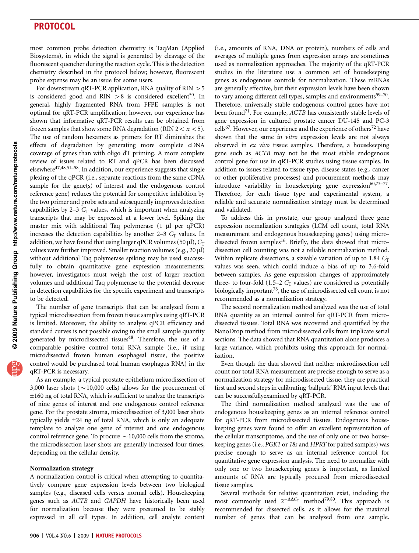most common probe detection chemistry is TaqMan (Applied Biosystems), in which the signal is generated by cleavage of the fluorescent quencher during the reaction cycle. This is the detection chemistry described in the protocol below; however, fluorescent probe expense may be an issue for some users.

For downstream qRT-PCR application, RNA quality of RIN  $>$  5 is considered good and RIN  $>8$  is considered excellent<sup>50</sup>. In general, highly fragmented RNA from FFPE samples is not optimal for qRT-PCR amplification; however, our experience has shown that informative qRT-PCR results can be obtained from frozen samples that show some RNA degradation (RIN  $2 < x < 5$ ). The use of random hexamers as primers for RT diminishes the effects of degradation by generating more complete cDNA coverage of genes than with oligo dT priming. A more complete review of issues related to RT and qPCR has been discussed elsewhere<sup>47,48,51-58</sup>. In addition, our experience suggests that single plexing of the qPCR (i.e., separate reactions from the same cDNA sample for the gene(s) of interest and the endogenous control reference gene) reduces the potential for competitive inhibition by the two primer and probe sets and subsequently improves detection capabilities by 2–3  $C_T$  values, which is important when analyzing transcripts that may be expressed at a lower level. Spiking the master mix with additional Taq polymerase  $(1 \mu l)$  per qPCR) increases the detection capabilities by another 2–3  $C<sub>T</sub>$  values. In addition, we have found that using larger qPCR volumes (50  $\mu$ l),  $C_T$ values were further improved. Smaller reaction volumes (e.g.,  $20 \mu l$ ) without additional Taq polymerase spiking may be used successfully to obtain quantitative gene expression measurements; however, investigators must weigh the cost of larger reaction volumes and additional Taq polymerase to the potential decrease in detection capabilities for the specific experiment and transcripts to be detected.

The number of gene transcripts that can be analyzed from a typical microdissection from frozen tissue samples using qRT-PCR is limited. Moreover, the ability to analyze qPCR efficiency and standard curves is not possible owing to the small sample quantity generated by microdissected tissues<sup>48</sup>. Therefore, the use of a comparable positive control total RNA sample (i.e., if using microdissected frozen human esophageal tissue, the positive control would be purchased total human esophagus RNA) in the qRT-PCR is necessary.

As an example, a typical prostate epithelium microdissection of 3,000 laser shots ( $\sim$  10,000 cells) allows for the procurement of ±160 ng of total RNA, which is sufficient to analyze the transcripts of nine genes of interest and one endogenous control reference gene. For the prostate stroma, microdissection of 3,000 laser shots typically yields ±24 ng of total RNA, which is only an adequate template to analyze one gene of interest and one endogenous control reference gene. To procure  $\sim$  10,000 cells from the stroma, the microdissection laser shots are generally increased four times, depending on the cellular density.

#### Normalization strategy

A normalization control is critical when attempting to quantitatively compare gene expression levels between two biological samples (e.g., diseased cells versus normal cells). Housekeeping genes such as ACTB and GAPDH have historically been used for normalization because they were presumed to be stably expressed in all cell types. In addition, cell analyte content (i.e., amounts of RNA, DNA or protein), numbers of cells and averages of multiple genes from expression arrays are sometimes used as normalization approaches. The majority of the qRT-PCR studies in the literature use a common set of housekeeping genes as endogenous controls for normalization. These mRNAs are generally effective, but their expression levels have been shown to vary among different cell types, samples and environments<sup>59–70</sup>. Therefore, universally stable endogenous control genes have not been found<sup>71</sup>. For example, ACTB has consistently stable levels of gene expression in cultured prostate cancer DU-145 and PC-3 cells<sup>67</sup>. However, our experience and the experience of others<sup>72</sup> have shown that the same in vitro expression levels are not always observed in ex vivo tissue samples. Therefore, a housekeeping gene such as ACTB may not be the most stable endogenous control gene for use in qRT-PCR studies using tissue samples. In addition to issues related to tissue type, disease states (e.g., cancer or other proliferative processes) and procurement methods may introduce variability in housekeeping gene expression $60,73-77$ . Therefore, for each tissue type and experimental system, a reliable and accurate normalization strategy must be determined and validated.

To address this in prostate, our group analyzed three gene expression normalization strategies (LCM cell count, total RNA measurement and endogenous housekeeping genes) using microdissected frozen samples<sup>16</sup>. Briefly, the data showed that microdissection cell counting was not a reliable normalization method. Within replicate dissections, a sizeable variation of up to  $1.84$   $C<sub>T</sub>$ values was seen, which could induce a bias of up to 3.6-fold between samples. As gene expression changes of approximately three- to four-fold  $(1.5-2 \tC<sub>T</sub>$  values) are considered as potentially biologically important<sup>78</sup>, the use of microdissected cell count is not recommended as a normalization strategy.

The second normalization method analyzed was the use of total RNA quantity as an internal control for qRT-PCR from microdissected tissues. Total RNA was recovered and quantified by the NanoDrop method from microdissected cells from triplicate serial sections. The data showed that RNA quantitation alone produces a large variance, which prohibits using this approach for normalization.

Even though the data showed that neither microdissection cell count nor total RNA measurement are precise enough to serve as a normalization strategy for microdissected tissue, they are practical first and second steps in calibrating 'ballpark' RNA input levels that can be successfullyexamined by qRT-PCR.

The third normalization method analyzed was the use of endogenous housekeeping genes as an internal reference control for qRT-PCR from microdissected tissues. Endogenous housekeeping genes were found to offer an excellent representation of the cellular transcriptome, and the use of only one or two housekeeping genes (i.e., PGK1 or 18s and HPRT for paired samples) was precise enough to serve as an internal reference control for quantitative gene expression analysis. The need to normalize with only one or two housekeeping genes is important, as limited amounts of RNA are typically procured from microdissected tissue samples.

Several methods for relative quantitation exist, including the most commonly used  $2^{-\Delta\Delta C_T}$  method<sup>79,80</sup>. This approach is recommended for dissected cells, as it allows for the maximal number of genes that can be analyzed from one sample.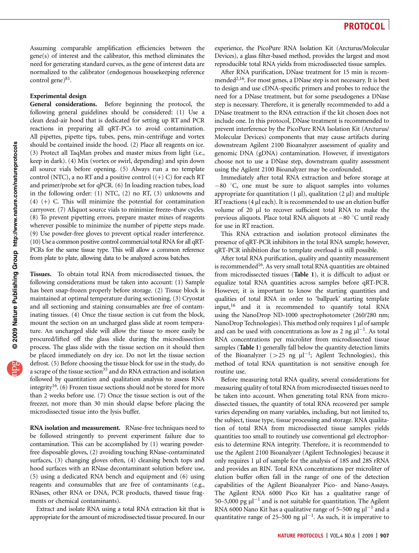Assuming comparable amplification efficiencies between the gene(s) of interest and the calibrator, this method eliminates the need for generating standard curves, as the gene of interest data are normalized to the calibrator (endogenous housekeeping reference control gene)<sup>81</sup>.

#### Experimental design

General considerations. Before beginning the protocol, the following general guidelines should be considered: (1) Use a clean dead-air hood that is dedicated for setting up RT and PCR reactions in preparing all qRT-PCs to avoid contamination. All pipettes, pipette tips, tubes, pens, min-centrifuge and vortex should be contained inside the hood. (2) Place all reagents on ice. (3) Protect all TaqMan probes and master mixes from light (i.e., keep in dark). (4) Mix (vortex or swirl, depending) and spin down all source vials before opening. (5) Always run a no template control (NTC), a no RT and a positive control  $((+) C)$  for each RT and primer/probe set for qPCR. (6) In loading reaction tubes, load in the following order: (1) NTC, (2) no RT, (3) unknowns and (4) (+) C. This will minimize the potential for contamination carryover. (7) Aliquot source vials to minimize freeze–thaw cycles. (8) To prevent pipetting errors, prepare master mixes of reagents wherever possible to minimize the number of pipette steps made. (9) Use powder-free gloves to prevent optical reader interference. (10) Use a common positive control commercial total RNA for all qRT-PCRs for the same tissue type. This will allow a common reference from plate to plate, allowing data to be analyzed across batches.

Tissues. To obtain total RNA from microdissected tissues, the following considerations must be taken into account: (1) Sample has been snap-frozen properly before storage. (2) Tissue block is maintained at optimal temperature during sectioning. (3) Cryostat and all sectioning and staining consumables are free of contaminating tissues. (4) Once the tissue section is cut from the block, mount the section on an uncharged glass slide at room temperature. An uncharged slide will allow the tissue to more easily be procured/lifted off the glass slide during the microdissection process. The glass slide with the tissue section on it should then be placed immediately on dry ice. Do not let the tissue section defrost. (5) Before choosing the tissue block for use in the study, do a scrape of the tissue section<sup>35</sup> and do RNA extraction and isolation followed by quantitation and qualitation analysis to assess RNA integrity<sup>16</sup>. (6) Frozen tissue sections should not be stored for more than 2 weeks before use. (7) Once the tissue section is out of the freezer, not more than 30 min should elapse before placing the microdissected tissue into the lysis buffer.

RNA isolation and measurement. RNase-free techniques need to be followed stringently to prevent experiment failure due to contamination. This can be accomplished by (1) wearing powderfree disposable gloves, (2) avoiding touching RNase-contaminated surfaces, (3) changing gloves often, (4) cleaning bench tops and hood surfaces with an RNase decontaminant solution before use, (5) using a dedicated RNA bench and equipment and (6) using reagents and consumables that are free of contaminants (e.g., RNases, other RNA or DNA, PCR products, thawed tissue fragments or chemical contaminants).

Extract and isolate RNA using a total RNA extraction kit that is appropriate for the amount of microdissected tissue procured. In our

experience, the PicoPure RNA Isolation Kit (Arcturus/Molecular Devices), a glass filter-based method, provides the largest and most reproducible total RNA yields from microdissected tissue samples.

After RNA purification, DNase treatment for 15 min is recommended<sup>2,16</sup>. For most genes, a DNase step is not necessary. It is best to design and use cDNA-specific primers and probes to reduce the need for a DNase treatment, but for some pseudogenes a DNase step is necessary. Therefore, it is generally recommended to add a DNase treatment to the RNA extraction if the kit chosen does not include one. In this protocol, DNase treatment is recommended to prevent interference by the PicoPure RNA Isolation Kit (Arcturus/ Molecular Devices) components that may cause artifacts during downstream Agilent 2100 Bioanalyzer assessment of quality and genomic DNA (gDNA) contamination. However, if investigators choose not to use a DNase step, downstream quality assessment using the Agilent 2100 Bioanalyzer may be confounded.

Immediately after total RNA extraction and before storage at  $-80$  °C, one must be sure to aliquot samples into volumes appropriate for quantitation  $(1 \mu l)$ , qualitation  $(2 \mu l)$  and multiple RT reactions (4 µl each). It is recommended to use an elution buffer volume of 20 ml to recover sufficient total RNA to make the previous aliquots. Place total RNA aliquots at  $-80$  °C until ready for use in RT reaction.

This RNA extraction and isolation protocol eliminates the presence of qRT-PCR inhibitors in the total RNA sample; however, qRT-PCR inhibition due to template overload is still possible.

After total RNA purification, quality and quantity measurement is recommended<sup>16</sup>. As very small total RNA quantities are obtained from microdissected tissues (Table 1), it is difficult to adjust or equalize total RNA quantities across samples before qRT-PCR. However, it is important to know the starting quantities and qualities of total RNA in order to 'ballpark' starting template input, $16$  and it is recommended to quantify total RNA using the NanoDrop ND-1000 spectrophotometer (260/280 nm; NanoDrop Technologies). This method only requires 1 µl of sample and can be used with concentrations as low as 2 ng  $\mu$ l<sup>-1</sup>. As total RNA concentrations per microliter from microdissected tissue samples (Table 1) generally fall below the quantity detection limits of the Bioanalyzer ( $>$  25 ng  $\mu$ l<sup>-1</sup>; Agilent Technologies), this method of total RNA quantitation is not sensitive enough for routine use.

Before measuring total RNA quality, several considerations for measuring quality of total RNA from microdissected tissues need to be taken into account. When generating total RNA from microdissected tissues, the quantity of total RNA recovered per sample varies depending on many variables, including, but not limited to, the subject, tissue type, tissue processing and storage. RNA qualitation of total RNA from microdissected tissue samples yields quantities too small to routinely use conventional gel electrophoresis to determine RNA integrity. Therefore, it is recommended to use the Agilent 2100 Bioanalyzer (Agilent Technologies) because it only requires 1 µl of sample for the analysis of 18S and 28S rRNA and provides an RIN. Total RNA concentrations per microliter of elution buffer often fall in the range of one of the detection capabilities of the Agilent Bioanalyzer Pico- and Nano-Assays. The Agilent RNA 6000 Pico Kit has a qualitative range of 50–5,000 pg  $\mu$ l<sup>-1</sup> and is not suitable for quantitation. The Agilent RNA 6000 Nano Kit has a qualitative range of 5–500 ng  $\mu$ l<sup>-1</sup> and a quantitative range of 25–500 ng  $\mu$ l<sup>-1</sup>. As such, it is imperative to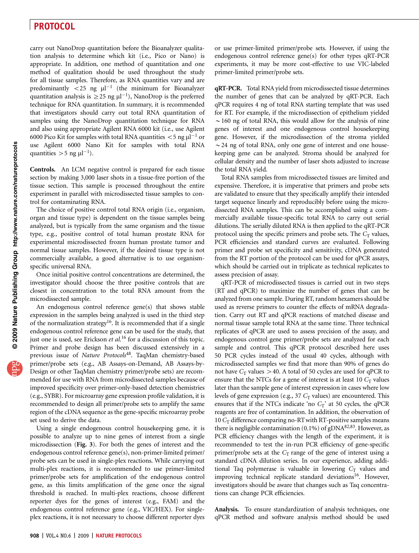carry out NanoDrop quantitation before the Bioanalyzer qualitation analysis to determine which kit (i.e., Pico or Nano) is appropriate. In addition, one method of quantitation and one method of qualitation should be used throughout the study for all tissue samples. Therefore, as RNA quantities vary and are predominantly  $\langle 25 \text{ ng } \mu l^{-1}$  (the minimum for Bioanalyzer quantitation analysis is  $\geq$  25 ng  $\mu$ l<sup>-1</sup>), NanoDrop is the preferred technique for RNA quantitation. In summary, it is recommended that investigators should carry out total RNA quantitation of samples using the NanoDrop quantitation technique for RNA and also using appropriate Agilent RNA 6000 kit (i.e., use Agilent 6000 Pico Kit for samples with total RNA quantities  $<$  5 ng  $\mu$ l<sup>-1</sup> or use Agilent 6000 Nano Kit for samples with total RNA quantities  $>$  5 ng  $\mu$ l<sup>-1</sup>).

Controls. An LCM negative control is prepared for each tissue section by making 3,000 laser shots in a tissue-free portion of the tissue section. This sample is processed throughout the entire experiment in parallel with microdissected tissue samples to control for contaminating RNA.

The choice of positive control total RNA origin (i.e., organism, organ and tissue type) is dependent on the tissue samples being analyzed, but is typically from the same organism and the tissue type, e.g., positive control of total human prostate RNA for experimental microdissected frozen human prostate tumor and normal tissue samples. However, if the desired tissue type is not commercially available, a good alternative is to use organismspecific universal RNA.

Once initial positive control concentrations are determined, the investigator should choose the three positive controls that are closest in concentration to the total RNA amount from the microdissected sample.

An endogenous control reference gene(s) that shows stable expression in the samples being analyzed is used in the third step of the normalization strategy<sup>16</sup>. It is recommended that if a single endogenous control reference gene can be used for the study, that just one is used, see Erickson et al.<sup>16</sup> for a discussion of this topic. Primer and probe design has been discussed extensively in a previous issue of Nature Protocols<sup>48</sup>. TaqMan chemistry-based primer/probe sets (e.g., AB Assays-on-Demand, AB Assays-by-Design or other TaqMan chemistry primer/probe sets) are recommended for use with RNA from microdissected samples because of improved specificity over primer-only-based detection chemistries (e.g., SYBR). For microarray gene expression profile validation, it is recommended to design all primer/probe sets to amplify the same region of the cDNA sequence as the gene-specific microarray probe set used to derive the data.

Using a single endogenous control housekeeping gene, it is possible to analyze up to nine genes of interest from a single microdissection (Fig. 3). For both the genes of interest and the endogenous control reference gene(s), non-primer-limited primer/ probe sets can be used in single-plex reactions. While carrying out multi-plex reactions, it is recommended to use primer-limited primer/probe sets for amplification of the endogenous control gene, as this limits amplification of the gene once the signal threshold is reached. In multi-plex reactions, choose different reporter dyes for the genes of interest (e.g., FAM) and the endogenous control reference gene (e.g., VIC/HEX). For singleplex reactions, it is not necessary to choose different reporter dyes or use primer-limited primer/probe sets. However, if using the endogenous control reference gene(s) for other types qRT-PCR experiments, it may be more cost-effective to use VIC-labeled primer-limited primer/probe sets.

qRT-PCR. Total RNA yield from microdissected tissue determines the number of genes that can be analyzed by qRT-PCR. Each qPCR requires 4 ng of total RNA starting template that was used for RT. For example, if the microdissection of epithelium yielded  $\sim$  160 ng of total RNA, this would allow for the analysis of nine genes of interest and one endogenous control housekeeping gene. However, if the microdissection of the stroma yielded  $\sim$  24 ng of total RNA, only one gene of interest and one housekeeping gene can be analyzed. Stroma should be analyzed for cellular density and the number of laser shots adjusted to increase the total RNA yield.

Total RNA samples from microdissected tissues are limited and expensive. Therefore, it is imperative that primers and probe sets are validated to ensure that they specifically amplify their intended target sequence linearly and reproducibly before using the microdissected RNA samples. This can be accomplished using a commercially available tissue-specific total RNA to carry out serial dilutions. The serially diluted RNA is then applied to the qRT-PCR protocol using the specific primers and probe sets. The  $C<sub>T</sub>$  values, PCR efficiencies and standard curves are evaluated. Following primer and probe set specificity and sensitivity, cDNA generated from the RT portion of the protocol can be used for qPCR assays, which should be carried out in triplicate as technical replicates to assess precision of assay.

qRT-PCR of microdissected tissues is carried out in two steps (RT and qPCR) to maximize the number of genes that can be analyzed from one sample. During RT, random hexamers should be used as reverse primers to counter the effects of mRNA degradation. Carry out RT and qPCR reactions of matched disease and normal tissue sample total RNA at the same time. Three technical replicates of qPCR are used to assess precision of the assay, and endogenous control gene primer/probe sets are analyzed for each sample and control. This qPCR protocol described here uses 50 PCR cycles instead of the usual 40 cycles, although with microdissected samples we find that more than 90% of genes do not have  $C_T$  values  $> 40$ . A total of 50 cycles are used for qPCR to ensure that the NTCs for a gene of interest is at least 10  $C<sub>T</sub>$  values later than the sample gene of interest expression in cases where low levels of gene expression (e.g., 37  $C<sub>T</sub>$  values) are encountered. This ensures that if the NTCs indicate 'no  $C_T$ ' at 50 cycles, the qPCR reagents are free of contamination. In addition, the observation of 10  $C_T$  difference comparing no-RT with RT-positive samples means there is negligible contamination (0.1%) of gDNA<sup>82,83</sup>. However, as PCR efficiency changes with the length of the experiment, it is recommended to test the in-run PCR efficiency of gene-specific primer/probe sets at the  $C_T$  range of the gene of interest using a standard cDNA dilution series. In our experience, adding additional Taq polymerase is valuable in lowering  $C_T$  values and improving technical replicate standard deviations<sup>16</sup>. However, investigators should be aware that changes such as Taq concentrations can change PCR efficiencies.

Analysis. To ensure standardization of analysis techniques, one qPCR method and software analysis method should be used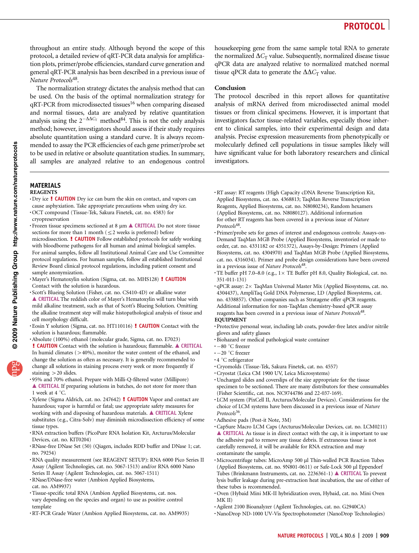throughout an entire study. Although beyond the scope of this protocol, a detailed review of qRT-PCR data analysis for amplification plots, primer/probe efficiencies, standard curve generation and general qRT-PCR analysis has been described in a previous issue of Nature Protocols<sup>48</sup>.

The normalization strategy dictates the analysis method that can be used. On the basis of the optimal normalization strategy for qRT-PCR from microdissected tissues<sup>16</sup> when comparing diseased and normal tissues, data are analyzed by relative quantitation analysis using the  $2^{-\Delta\Delta C_T}$  method<sup>84</sup>. This is not the only analysis method; however, investigators should assess if their study requires absolute quantitation using a standard curve. It is always recommended to assay the PCR efficiencies of each gene primer/probe set to be used in relative or absolute quantitation studies. In summary, all samples are analyzed relative to an endogenous control

### MATERIALS

#### REAGENTS .Dry ice ! CAUTION Dry ice can burn the skin on contact, and vapors can cause asphyxiation. Take appropriate precautions when using dry ice. .OCT compound (Tissue-Tek, Sakura Finetek, cat. no. 4583) for

- cryopreservation
- $\cdot$  Frozen tissue specimens sectioned at 8  $\mu$ m  $\triangle$  CRITICAL Do not store tissue sections for more than 1 month ( $\leq$ 2 weeks is preferred) before
- microdissection. **! CAUTION** Follow established protocols for safely working with bloodborne pathogens for all human and animal biological samples. For animal samples, follow all Institutional Animal Care and Use Committee protocol regulations. For human samples, follow all established Institutional Review Board clinical protocol regulations, including patient consent and sample anonymization.
- · Mayer's Hematoxylin solution (Sigma, cat. no. MHS128) ! CAUTION Contact with the solution is hazardous.
- .Scott's Blueing Solution (Fisher, cat. no. CS410-4D) or alkaline water ▲ CRITICAL The reddish color of Mayer's Hematoxylin will turn blue with mild alkaline treatment, such as that of Scott's Blueing Solution. Omitting the alkaline treatment step will make histopathological analysis of tissue and cell morphology difficult.
- . Eosin Y solution (Sigma, cat. no. HT110116) ! CAUTION Contact with the solution is hazardous; flammable.
- .Absolute (100%) ethanol (molecular grade, Sigma, cat. no. E7023)
- ! CAUTION Contact with the solution is hazardous; flammable. A CRITICAL In humid climates  $(>40\%)$ , monitor the water content of the ethanol, and change the solution as often as necessary. It is generally recommended to change all solutions in staining process every week or more frequently if staining > 20 slides.<br>• 95% and 70% ethanol. Prepare with Milli-Q-filtered water (Millipore)
- ▲ CRITICAL If preparing solutions in batches, do not store for more than 1 week at 4 °C.<br>• Xylene (Sigma Aldrich, cat. no. 247642) **! CAUTION** Vapor and contact are
- hazardous; vapor is harmful or fatal; use appropriate safety measures for working with and disposing of hazardous materials.  $\triangle$  CRITICAL Xylene substitutes (e.g., Citra-Solv) may diminish microdissection efficiency of some tissue types.
- .RNA extraction buffers (PicoPure RNA Isolation Kit, Arcturus/Molecular Devices, cat. no. KIT0204)
- .RNase-free DNase Set (50) (Qiagen, includes RDD buffer and DNase 1; cat. no. 79254)
- .RNA quality measurement (see REAGENT SETUP): RNA 6000 Pico Series II Assay (Agilent Technologies, cat. no. 5067-1513) and/or RNA 6000 Nano Series II Assay (Agilent Technologies, cat. no. 5067-1511)
- .RNase/DNase-free water (Ambion Applied Biosystems,
- cat. no. AM9937)
- .Tissue-specific total RNA (Ambion Applied Biosystems, cat. nos. vary depending on the species and organ) to use as positive control template
- .RT-PCR Grade Water (Ambion Applied Biosystems, cat. no. AM9935)

housekeeping gene from the same sample total RNA to generate the normalized  $\Delta C_T$  value. Subsequently, normalized disease tissue qPCR data are analyzed relative to normalized matched normal tissue qPCR data to generate the  $\Delta \Delta C_T$  value.

#### Conclusion

The protocol described in this report allows for quantitative analysis of mRNA derived from microdissected animal model tissues or from clinical specimens. However, it is important that investigators factor tissue-related variables, especially those inherent to clinical samples, into their experimental design and data analysis. Precise expression measurements from phenotypically or molecularly defined cell populations in tissue samples likely will have significant value for both laboratory researchers and clinical investigators.

- .RT assay: RT reagents (High Capacity cDNA Reverse Transcription Kit, Applied Biosystems, cat. no. 4368813; TaqMan Reverse Transcription Reagents, Applied Biosystems, cat. no. N8080234), Random hexamers (Applied Biosystems, cat. no. N8080127). Additional information for other RT reagents has been covered in a previous issue of Nature Protocols<sup>48</sup>.<br>• Primer/probe sets for genes of interest and endogenous controls: Assays-on-
- Demand TaqMan MGB Probe (Applied Biosystems, inventoried or made to order, cat. no. 4331182 or 4351372), Assays-by-Design: Primers (Applied Biosystems, cat. no. 4304970) and TaqMan MGB Probe (Applied Biosystems, cat. no. 4316034). Primer and probe design considerations have been covered in a previous issue of *Nature Protocols*<sup>48</sup>. in a previous issue of *Nature Protocols*<sup>48</sup>.<br>
• TE buffer pH 7.0–8.0 (e.g., 1 × TE Buffer pH 8.0, Quality Biological, cat. no.
- 351-011-131)
- .qPCR assay: 2- TaqMan Universal Master Mix (Applied Biosystems, cat. no. 4304437), AmpliTaq Gold DNA Polymerase, LD (Applied Biosystems, cat. no. 4338857). Other companies such as Stratagene offer qPCR reagents. Additional information for non-TaqMan chemistry-based qPCR assay reagents has been covered in a previous issue of Nature Protocols<sup>48</sup>. EQUIPMENT
- .Protective personal wear, including lab coats, powder-free latex and/or nitrile gloves and safety glasses
- .Biohazard or medical pathological waste container
- 
- 
- .80 °C freezer<br>-20 °C freezer .4 °C refrigerator<br>.Cryomolds (Tissue-Tek, Sakura Finetek, cat. no. 4557)
- .Cryostat (Leica CM 1900 UV, Leica Microsystems)
- .Uncharged slides and coverslips of the size appropriate for the tissue specimen to be sectioned. There are many distributors for these consumables (Fisher Scientific, cat. nos. NC9744786 and 22-037-169).
- .LCM system (PixCell II, Arcturus/Molecular Devices). Considerations for the choice of LCM systems have been discussed in a previous issue of Nature
- Protocols<sup>36</sup>.<br>
 Adhesive pads (Post-it Note, 3M)
- .CapSure Macro LCM Caps (Arcturus/Molecular Devices, cat. no. LCM0211)  $\triangle$  CRITICAL As tissue is in direct contact with the cap, it is important to use the adhesive pad to remove any tissue debris. If extraneous tissue is not carefully removed, it will be available for RNA extraction and may contaminate the sample.
- · Microcentrifuge tubes: MicroAmp 500 µl Thin-walled PCR Reaction Tubes (Applied Biosystems, cat. no. 9N801-0611) or Safe-Lock 500 µl Eppendorf Tubes (Brinkmann Instruments, cat. no. 2236361-1) ▲ CRITICAL To prevent lysis buffer leakage during pre-extraction heat incubation, the use of either of these tubes is recommended.
- .Oven (Hybaid Mini MK-II hybridization oven, Hybaid, cat. no. Mini Oven MK II)
- .Agilent 2100 Bioanalyzer (Agilent Technologies, cat. no. G2940CA)
- .NanoDrop ND-1000 UV-Vis Spectrophotometer (NanoDrop Technologies)

**w w//: ptt h**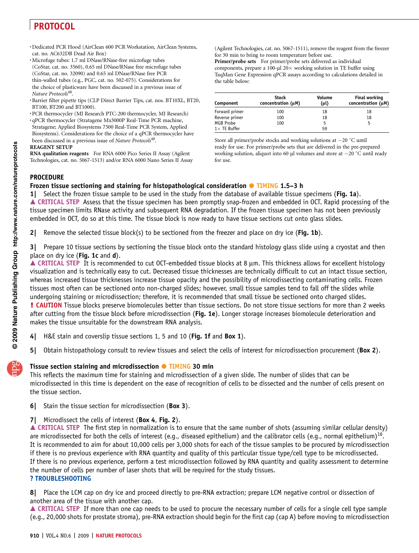- .Dedicated PCR Hood (AirClean 600 PCR Workstation, AirClean Systems, cat. no. AC632DB Dead Air Box)
- .Microfuge tubes: 1.7 ml DNase/RNase-free microfuge tubes (CoStar, cat. no. 3560), 0.65 ml DNase/RNase free microfuge tubes (CoStar, cat. no. 32090) and 0.65 ml DNase/RNase free PCR thin-walled tubes (e.g., PGC, cat. no. 502-075). Considerations for the choice of plasticware have been discussed in a previous issue of
- Nature Protocols<sup>48</sup>.<br>•Barrier filter pipette tips (CLP Direct Barrier Tips, cat. nos. BT10XL, BT20, BT100, BT200 and BT1000).
- .PCR thermocycler (MJ Research PTC-200 thermocycler, MJ Research) .qPCR thermocycler (Stratagene Mx3000P Real-Time PCR machine, Stratagene; Applied Biosystems 7500 Real-Time PCR System, Applied Biosystems). Considerations for the choice of a qPCR thermocycler have been discussed in a previous issue of Nature Protocols<sup>48</sup>.

#### REAGENT SETUP

RNA qualitation reagents For RNA 6000 Pico Series II Assay (Agilent Technologies, cat. no. 5067-1513) and/or RNA 6000 Nano Series II Assay

(Agilent Technologies, cat. no. 5067-1511), remove the reagent from the freezer for 30 min to bring to room temperature before use. Primer/probe sets For primer/probe sets delivered as individual components, prepare a 100- $\mu$ l 20 $\times$  working solution in TE buffer using TaqMan Gene Expression qPCR assays according to calculations detailed in the table below:

| Component                        | <b>Stock</b><br>concentration $(\mu M)$ | Volume<br>$(\mu l)$ | Final working<br>concentration (μM) |
|----------------------------------|-----------------------------------------|---------------------|-------------------------------------|
| Forward primer                   | 100                                     | 18                  | 18                                  |
| Reverse primer                   | 100                                     | 18                  | 18                                  |
| MGB Probe<br>$1\times$ TE Buffer | 100                                     | 59                  | 5                                   |

Store all primer/probe stocks and working solutions at  $-20$  °C until ready for use. For primer/probe sets that are delivered in the pre-prepared working solution, aliquot into 60 µl volumes and store at  $-20$  °C until ready for use.

### **PROCEDURE**

# Frozen tissue sectioning and staining for histopathological consideration  $\bullet$  TIMING 1.5–3 h<br>1 Select the frozen tissue sample to be used in the study from the database of available tissue

Select the frozen tissue sample to be used in the study from the database of available tissue specimens (Fig. 1a). ■ CRITICAL STEP Assess that the tissue specimen has been promptly snap-frozen and embedded in OCT. Rapid processing of the tissue specimen limits RNase activity and subsequent RNA degradation. If the frozen tissue specimen has not been previously embedded in OCT, do so at this time. The tissue block is now ready to have tissue sections cut onto glass slides.

2| Remove the selected tissue block(s) to be sectioned from the freezer and place on dry ice (Fig. 1b).

3| Prepare 10 tissue sections by sectioning the tissue block onto the standard histology glass slide using a cryostat and then place on dry ice (Fig. 1c and d).

 $\triangle$  CRITICAL STEP It is recommended to cut OCT-embedded tissue blocks at 8  $\mu$ m. This thickness allows for excellent histology visualization and is technically easy to cut. Decreased tissue thicknesses are technically difficult to cut an intact tissue section, whereas increased tissue thicknesses increase tissue opacity and the possibility of microdissecting contaminating cells. Frozen tissues most often can be sectioned onto non-charged slides; however, small tissue samples tend to fall off the slides while undergoing staining or microdissection; therefore, it is recommended that small tissue be sectioned onto charged slides. **! CAUTION** Tissue blocks preserve biomolecules better than tissue sections. Do not store tissue sections for more than 2 weeks

after cutting from the tissue block before microdissection (Fig. 1e). Longer storage increases biomolecule deterioration and makes the tissue unsuitable for the downstream RNA analysis.

- 4 H&E stain and coverslip tissue sections 1, 5 and 10 (Fig. 1f and Box 1).
- 5| Obtain histopathology consult to review tissues and select the cells of interest for microdissection procurement (Box 2).

### Tissue section staining and microdissection • TIMING 30 min

This reflects the maximum time for staining and microdissection of a given slide. The number of slides that can be microdissected in this time is dependent on the ease of recognition of cells to be dissected and the number of cells present on the tissue section.

6| Stain the tissue section for microdissection (Box 3).

### 7| Microdissect the cells of interest (Box 4, Fig. 2).

▲ CRITICAL STEP The first step in normalization is to ensure that the same number of shots (assuming similar cellular density) are microdissected for both the cells of interest (e.g., diseased epithelium) and the calibrator cells (e.g., normal epithelium)<sup>16</sup>. It is recommended to aim for about 10,000 cells per 3,000 shots for each of the tissue samples to be procured by microdissection if there is no previous experience with RNA quantity and quality of this particular tissue type/cell type to be microdissected. If there is no previous experience, perform a test microdissection followed by RNA quantity and quality assessment to determine the number of cells per number of laser shots that will be required for the study tissues. ? TROUBLESHOOTING

8| Place the LCM cap on dry ice and proceed directly to pre-RNA extraction; prepare LCM negative control or dissection of another area of the tissue with another cap.

▲ CRITICAL STEP If more than one cap needs to be used to procure the necessary number of cells for a single cell type sample (e.g., 20,000 shots for prostate stroma), pre-RNA extraction should begin for the first cap (cap A) before moving to microdissection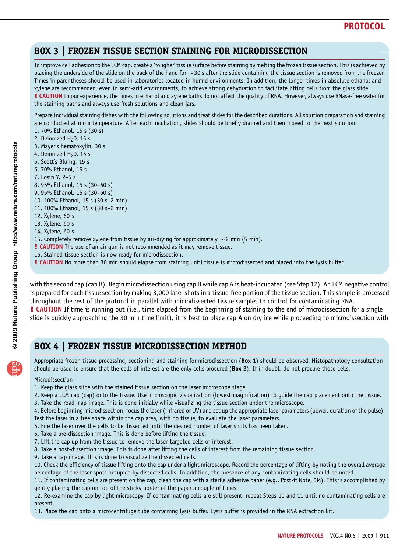## BOX 3 | FROZEN TISSUE SECTION STAINING FOR MICRODISSECTION

To improve cell adhesion to the LCM cap, create a 'rougher' tissue surface before staining by melting the frozen tissue section. This is achieved by placing the underside of the slide on the back of the hand for  $\sim$  30 s after the slide containing the tissue section is removed from the freezer. Times in parentheses should be used in laboratories located in humid environments. In addition, the longer times in absolute ethanol and xylene are recommended, even in semi-arid environments, to achieve strong dehydration to facilitate lifting cells from the glass slide. **! CAUTION** In our experience, the times in ethanol and xylene baths do not affect the quality of RNA. However, always use RNase-free water for the staining baths and always use fresh solutions and clean jars.

Prepare individual staining dishes with the following solutions and treat slides for the described durations. All solution preparation and staining are conducted at room temperature. After each incubation, slides should be briefly drained and then moved to the next solution:

1. 70% Ethanol, 15 s (30 s) 2. Deionized  $H<sub>2</sub>0$ , 15 s 3. Mayer's hematoxylin, 30 s 4. Deionized  $H<sub>2</sub>0$ , 15 s 5. Scott's Bluing, 15 s 6. 70% Ethanol, 15 s 7. Eosin Y, 2–5 s 8. 95% Ethanol, 15 s (30–60 s) 9. 95% Ethanol, 15 s (30–60 s) 10. 100% Ethanol, 15 s (30 s–2 min) 11. 100% Ethanol, 15 s (30 s–2 min) 12. Xylene, 60 s 13. Xylene, 60 s 14. Xylene, 60 s 15. Completely remove xylene from tissue by air-drying for approximately  $\sim$  2 min (5 min). **! CAUTION** The use of an air qun is not recommended as it may remove tissue. 16. Stained tissue section is now ready for microdissection. **! CAUTION** No more than 30 min should elapse from staining until tissue is microdissected and placed into the lysis buffer.

with the second cap (cap B). Begin microdissection using cap B while cap A is heat-incubated (see Step 12). An LCM negative control is prepared for each tissue section by making 3,000 laser shots in a tissue-free portion of the tissue section. This sample is processed throughout the rest of the protocol in parallel with microdissected tissue samples to control for contaminating RNA.

**! CAUTION** If time is running out (i.e., time elapsed from the beginning of staining to the end of microdissection for a single slide is quickly approaching the 30 min time limit), it is best to place cap A on dry ice while proceeding to microdissection with

## BOX 4 | FROZEN TISSUE MICRODISSECTION METHOD

Appropriate frozen tissue processing, sectioning and staining for microdissection (Box 1) should be observed. Histopathology consultation should be used to ensure that the cells of interest are the only cells procured (Box 2). If in doubt, do not procure those cells.

### Microdissection

- 1. Keep the glass slide with the stained tissue section on the laser microscope stage.
- 2. Keep a LCM cap (cap) onto the tissue. Use microscopic visualization (lowest magnification) to guide the cap placement onto the tissue.
- 3. Take the road map image. This is done initially while visualizing the tissue section under the microscope.
- 4. Before beginning microdissection, focus the laser (infrared or UV) and set up the appropriate laser parameters (power, duration of the pulse). Test the laser in a free space within the cap area, with no tissue, to evaluate the laser parameters.
- 5. Fire the laser over the cells to be dissected until the desired number of laser shots has been taken.
- 6. Take a pre-dissection image. This is done before lifting the tissue.
- 7. Lift the cap up from the tissue to remove the laser-targeted cells of interest.
- 8. Take a post-dissection image. This is done after lifting the cells of interest from the remaining tissue section.
- 9. Take a cap image. This is done to visualize the dissected cells.
- 10. Check the efficiency of tissue lifting onto the cap under a light microscope. Record the percentage of lifting by noting the overall average percentage of the laser spots occupied by dissected cells. In addition, the presence of any contaminating cells should be noted.

11. If contaminating cells are present on the cap, clean the cap with a sterile adhesive paper (e.g., Post-it Note, 3M). This is accomplished by gently placing the cap on top of the sticky border of the paper a couple of times.

12. Re-examine the cap by light microscopy. If contaminating cells are still present, repeat Steps 10 and 11 until no contaminating cells are present.

13. Place the cap onto a microcentrifuge tube containing lysis buffer. Lysis buffer is provided in the RNA extraction kit.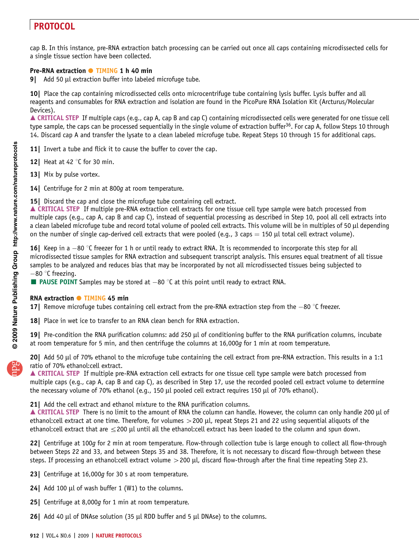cap B. In this instance, pre-RNA extraction batch processing can be carried out once all caps containing microdissected cells for a single tissue section have been collected.

### Pre-RNA extraction • TIMING 1 h 40 min

9| Add 50 µl extraction buffer into labeled microfuge tube.

10| Place the cap containing microdissected cells onto microcentrifuge tube containing lysis buffer. Lysis buffer and all reagents and consumables for RNA extraction and isolation are found in the PicoPure RNA Isolation Kit (Arcturus/Molecular Devices).

▲ CRITICAL STEP If multiple caps (e.g., cap A, cap B and cap C) containing microdissected cells were generated for one tissue cell type sample, the caps can be processed sequentially in the single volume of extraction buffer<sup>36</sup>. For cap A, follow Steps 10 through 14. Discard cap A and transfer the lysate to a clean labeled microfuge tube. Repeat Steps 10 through 15 for additional caps.

- 11| Invert a tube and flick it to cause the buffer to cover the cap.
- 12 Heat at 42  $\degree$ C for 30 min.
- 13| Mix by pulse vortex.
- 14| Centrifuge for 2 min at 800g at room temperature.

15| Discard the cap and close the microfuge tube containing cell extract.

▲ CRITICAL STEP If multiple pre-RNA extraction cell extracts for one tissue cell type sample were batch processed from multiple caps (e.g., cap A, cap B and cap C), instead of sequential processing as described in Step 10, pool all cell extracts into a clean labeled microfuge tube and record total volume of pooled cell extracts. This volume will be in multiples of 50 µl depending on the number of single cap-derived cell extracts that were pooled (e.g., 3 caps  $=$  150 µl total cell extract volume).

16| Keep in a  $-80$  °C freezer for 1 h or until ready to extract RNA. It is recommended to incorporate this step for all microdissected tissue samples for RNA extraction and subsequent transcript analysis. This ensures equal treatment of all tissue samples to be analyzed and reduces bias that may be incorporated by not all microdissected tissues being subjected to  $-80$  °C freezing.

**PAUSE POINT** Samples may be stored at  $-80$  °C at this point until ready to extract RNA.

### RNA extraction • TIMING 45 min

17| Remove microfuge tubes containing cell extract from the pre-RNA extraction step from the  $-80$  °C freezer.

18| Place in wet ice to transfer to an RNA clean bench for RNA extraction.

19| Pre-condition the RNA purification columns: add 250 µl of conditioning buffer to the RNA purification columns, incubate at room temperature for 5 min, and then centrifuge the columns at 16,000g for 1 min at room temperature.

20| Add 50 µl of 70% ethanol to the microfuge tube containing the cell extract from pre-RNA extraction. This results in a 1:1 ratio of 70% ethanol:cell extract.

▲ CRITICAL STEP If multiple pre-RNA extraction cell extracts for one tissue cell type sample were batch processed from multiple caps (e.g., cap A, cap B and cap C), as described in Step 17, use the recorded pooled cell extract volume to determine the necessary volume of 70% ethanol (e.g., 150 µl pooled cell extract requires 150 µl of 70% ethanol).

21| Add the cell extract and ethanol mixture to the RNA purification columns.

 $\blacktriangle$  CRITICAL STEP There is no limit to the amount of RNA the column can handle. However, the column can only handle 200  $\mu$ l of ethanol:cell extract at one time. Therefore, for volumes  $>$  200 µl, repeat Steps 21 and 22 using sequential aliquots of the ethanol:cell extract that are  $\leq$ 200 µl until all the ethanol:cell extract has been loaded to the column and spun down.

22| Centrifuge at 100g for 2 min at room temperature. Flow-through collection tube is large enough to collect all flow-through between Steps 22 and 33, and between Steps 35 and 38. Therefore, it is not necessary to discard flow-through between these steps. If processing an ethanol:cell extract volume  $>$  200 µl, discard flow-through after the final time repeating Step 23.

- 23| Centrifuge at 16,000g for 30 s at room temperature.
- 24  $\mid$  Add 100  $\mu$ l of wash buffer 1 (W1) to the columns.
- 25| Centrifuge at 8,000g for 1 min at room temperature.
- 26| Add 40 µl of DNAse solution (35 µl RDD buffer and 5 µl DNAse) to the columns.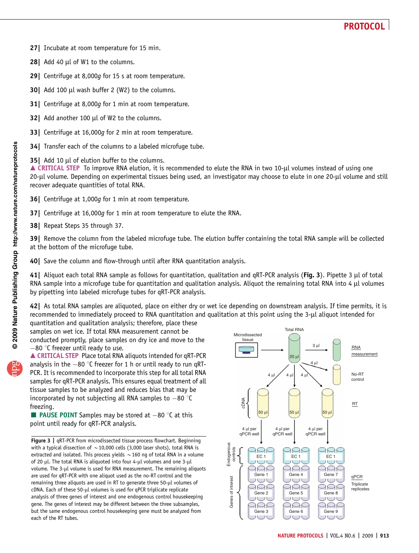- 27 Incubate at room temperature for 15 min.
- 28| Add 40  $\mu$ l of W1 to the columns.
- 29| Centrifuge at 8,000g for 15 s at room temperature.
- 30  $\mid$  Add 100  $\mu$ l wash buffer 2 (W2) to the columns.
- 31| Centrifuge at 8,000g for 1 min at room temperature.
- 32| Add another 100 µl of W2 to the columns.
- 33| Centrifuge at 16,000g for 2 min at room temperature.
- **34** Transfer each of the columns to a labeled microfuge tube.

35| Add 10 µl of elution buffer to the columns.

 $\triangle$  CRITICAL STEP To improve RNA elution, it is recommended to elute the RNA in two 10-µl volumes instead of using one 20-µl volume. Depending on experimental tissues being used, an investigator may choose to elute in one 20-µl volume and still recover adequate quantities of total RNA.

- 36| Centrifuge at 1,000g for 1 min at room temperature.
- 37| Centrifuge at 16,000g for 1 min at room temperature to elute the RNA.
- 38| Repeat Steps 35 through 37.

39| Remove the column from the labeled microfuge tube. The elution buffer containing the total RNA sample will be collected at the bottom of the microfuge tube.

40| Save the column and flow-through until after RNA quantitation analysis.

41 Aliquot each total RNA sample as follows for quantitation, qualitation and qRT-PCR analysis (Fig. 3). Pipette 3 µl of total RNA sample into a microfuge tube for quantitation and qualitation analysis. Aliquot the remaining total RNA into 4 µl volumes by pipetting into labeled microfuge tubes for qRT-PCR analysis.

42| As total RNA samples are aliquoted, place on either dry or wet ice depending on downstream analysis. If time permits, it is recommended to immediately proceed to RNA quantitation and qualitation at this point using the 3-µl aliquot intended for

quantitation and qualitation analysis; therefore, place these samples on wet ice. If total RNA measurement cannot be conducted promptly, place samples on dry ice and move to the  $-80$  °C freezer until ready to use.

▲ CRITICAL STEP Place total RNA aliquots intended for qRT-PCR analysis in the  $-80$  °C freezer for 1 h or until ready to run qRT-PCR. It is recommended to incorporate this step for all total RNA samples for qRT-PCR analysis. This ensures equal treatment of all tissue samples to be analyzed and reduces bias that may be incorporated by not subjecting all RNA samples to  $-80$  °C freezing.

**E** PAUSE POINT Samples may be stored at  $-80$  °C at this point until ready for qRT-PCR analysis.

Figure 3 | qRT-PCR from microdissected tissue process flowchart. Beginning with a typical dissection of  $\sim$  10,000 cells (3,000 laser shots), total RNA is extracted and isolated. This process yields  $\sim$  160 ng of total RNA in a volume of 20  $\mu$ l. The total RNA is aliquoted into four 4- $\mu$ l volumes and one 3- $\mu$ l volume. The 3-µl volume is used for RNA measurement. The remaining aliquots are used for qRT-PCR with one aliquot used as the no-RT control and the remaining three aliquots are used in RT to generate three 50-µl volumes of  $cDNA.$  Each of these 50- $\mu$ l volumes is used for qPCR triplicate replicate analysis of three genes of interest and one endogenous control housekeeping gene. The genes of interest may be different between the three subsamples, but the same endogenous control housekeeping gene must be analyzed from each of the RT tubes.

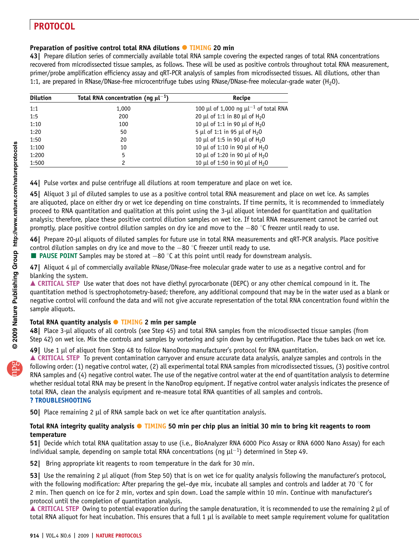### Preparation of positive control total RNA dilutions  $\bullet$  TIMING 20 min

43| Prepare dilution series of commercially available total RNA sample covering the expected ranges of total RNA concentrations recovered from microdissected tissue samples, as follows. These will be used as positive controls throughout total RNA measurement, primer/probe amplification efficiency assay and qRT-PCR analysis of samples from microdissected tissues. All dilutions, other than 1:1, are prepared in RNase/DNase-free microcentrifuge tubes using RNase/DNase-free molecular-grade water (H<sub>2</sub>O).

| <b>Dilution</b> | Total RNA concentration (ng $\mu$ l <sup>-1</sup> ) | Recipe                                       |
|-----------------|-----------------------------------------------------|----------------------------------------------|
| 1:1             | 1,000                                               | 100 µl of 1,000 ng $\mu l^{-1}$ of total RNA |
| 1:5             | 200                                                 | 20 µl of 1:1 in 80 µl of $H_2O$              |
| 1:10            | 100                                                 | 10 µl of 1:1 in 90 µl of $H_2$ 0             |
| 1:20            | 50                                                  | 5 µl of 1:1 in 95 µl of $H_2$ 0              |
| 1:50            | 20                                                  | 10 µl of 1:5 in 90 µl of H <sub>2</sub> 0    |
| 1:100           | 10                                                  | 10 µl of 1:10 in 90 µl of $H_2O$             |
| 1:200           | 5                                                   | 10 µl of 1:20 in 90 µl of $H_2$ 0            |
| 1:500           | 2                                                   | 10 µl of 1:50 in 90 µl of $H_2$ 0            |

44| Pulse vortex and pulse centrifuge all dilutions at room temperature and place on wet ice.

45| Aliquot 3 µl of diluted samples to use as a positive control total RNA measurement and place on wet ice. As samples are aliquoted, place on either dry or wet ice depending on time constraints. If time permits, it is recommended to immediately proceed to RNA quantitation and qualitation at this point using the 3-µl aliquot intended for quantitation and qualitation analysis; therefore, place these positive control dilution samples on wet ice. If total RNA measurement cannot be carried out promptly, place positive control dilution samples on dry ice and move to the  $-80$  °C freezer until ready to use.

46 | Prepare 20-µl aliquots of diluted samples for future use in total RNA measurements and qRT-PCR analysis. Place positive control dilution samples on dry ice and move to the  $-80$  °C freezer until ready to use.

**PAUSE POINT** Samples may be stored at  $-80$  °C at this point until ready for downstream analysis.

47| Aliquot 4 µl of commercially available RNase/DNase-free molecular grade water to use as a negative control and for blanking the system.

▲ CRITICAL STEP Use water that does not have diethyl pyrocarbonate (DEPC) or any other chemical compound in it. The quantitation method is spectrophotometry-based; therefore, any additional compound that may be in the water used as a blank or negative control will confound the data and will not give accurate representation of the total RNA concentration found within the sample aliquots.

### Total RNA quantity analysis  $\bullet$  TIMING 2 min per sample

48| Place 3-µl aliquots of all controls (see Step 45) and total RNA samples from the microdissected tissue samples (from Step 42) on wet ice. Mix the controls and samples by vortexing and spin down by centrifugation. Place the tubes back on wet ice.

49| Use 1 µl of aliquot from Step 48 to follow NanoDrop manufacturer's protocol for RNA quantitation.

▲ CRITICAL STEP To prevent contamination carryover and ensure accurate data analysis, analyze samples and controls in the following order: (1) negative control water, (2) all experimental total RNA samples from microdissected tissues, (3) positive control RNA samples and (4) negative control water. The use of the negative control water at the end of quantitation analysis to determine whether residual total RNA may be present in the NanoDrop equipment. If negative control water analysis indicates the presence of total RNA, clean the analysis equipment and re-measure total RNA quantities of all samples and controls. ? TROUBLESHOOTING

**50** Place remaining 2  $\mu$ l of RNA sample back on wet ice after quantitation analysis.

### Total RNA integrity quality analysis **• TIMING** 50 min per chip plus an initial 30 min to bring kit reagents to room temperature

51| Decide which total RNA qualitation assay to use (i.e., BioAnalyzer RNA 6000 Pico Assay or RNA 6000 Nano Assay) for each individual sample, depending on sample total RNA concentrations (ng  $\mu$ l $^{-1}$ ) determined in Step 49.

52| Bring appropriate kit reagents to room temperature in the dark for 30 min.

53| Use the remaining 2 µl aliquot (from Step 50) that is on wet ice for quality analysis following the manufacturer's protocol, with the following modification: After preparing the gel–dye mix, incubate all samples and controls and ladder at 70 °C for 2 min. Then quench on ice for 2 min, vortex and spin down. Load the sample within 10 min. Continue with manufacturer's protocol until the completion of quantitation analysis.

 $\blacktriangle$  CRITICAL STEP Owing to potential evaporation during the sample denaturation, it is recommended to use the remaining 2  $\mu$ l of total RNA aliquot for heat incubation. This ensures that a full  $1 \mu$ l is available to meet sample requirement volume for qualitation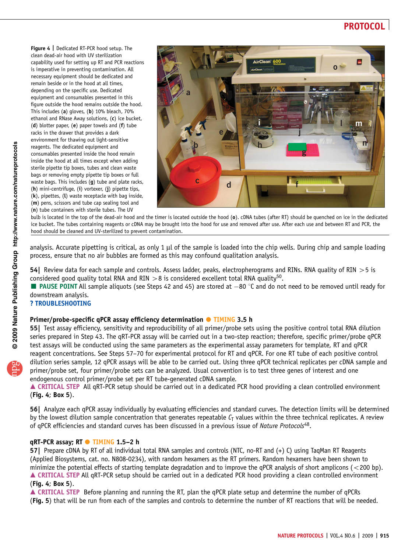Figure 4 | Dedicated RT-PCR hood setup. The clean dead-air hood with UV sterilization capability used for setting up RT and PCR reactions is imperative in preventing contamination. All necessary equipment should be dedicated and remain beside or in the hood at all times, depending on the specific use. Dedicated equipment and consumables presented in this figure outside the hood remains outside the hood. This includes (a) gloves, (b) 10% bleach, 70% ethanol and RNase Away solutions, (c) ice bucket, (d) blotter paper, (e) paper towels and (f) tube racks in the drawer that provides a dark environment for thawing out light-sensitive reagents. The dedicated equipment and consumables presented inside the hood remain inside the hood at all times except when adding sterile pipette tip boxes, tubes and clean waste bags or removing empty pipette tip boxes or full waste bags. This includes (g) tube and plate racks, (h) mini-centrifuge, (i) vortexer, (j) pipette tips, (k), pipettes, (l) waste receptacle with bag inside, (m) pens, scissors and tube cap sealing tool and (n) tube containers with sterile tubes. The UV



bulb is located in the top of the dead-air hood and the timer is located outside the hood (o). cDNA tubes (after RT) should be quenched on ice in the dedicated ice bucket. The tubes containing reagents or cDNA may be brought into the hood for use and removed after use. After each use and between RT and PCR, the hood should be cleaned and UV-sterilized to prevent contamination.

analysis. Accurate pipetting is critical, as only 1  $\mu$ l of the sample is loaded into the chip wells. During chip and sample loading process, ensure that no air bubbles are formed as this may confound qualitation analysis.

**54** Review data for each sample and controls. Assess ladder, peaks, electropherograms and RINs. RNA quality of RIN  $>$  5 is considered good quality total RNA and RIN  $>8$  is considered excellent total RNA quality<sup>50</sup>.

**PAUSE POINT All sample aliquots (see Steps 42 and 45) are stored at**  $-80$  **°C and do not need to be removed until ready for** downstream analysis.

? TROUBLESHOOTING

### Primer/probe-specific qPCR assay efficiency determination ● TIMING 3.5 h

55| Test assay efficiency, sensitivity and reproducibility of all primer/probe sets using the positive control total RNA dilution series prepared in Step 43. The qRT-PCR assay will be carried out in a two-step reaction; therefore, specific primer/probe qPCR test assays will be conducted using the same parameters as the experimental assay parameters for template, RT and qPCR reagent concentrations. See Steps 57–70 for experimental protocol for RT and qPCR. For one RT tube of each positive control dilution series sample, 12 qPCR assays will be able to be carried out. Using three qPCR technical replicates per cDNA sample and primer/probe set, four primer/probe sets can be analyzed. Usual convention is to test three genes of interest and one endogenous control primer/probe set per RT tube-generated cDNA sample.

 $\triangle$  CRITICAL STEP All qRT-PCR setup should be carried out in a dedicated PCR hood providing a clean controlled environment (Fig. 4; Box 5).

56| Analyze each qPCR assay individually by evaluating efficiencies and standard curves. The detection limits will be determined by the lowest dilution sample concentration that generates repeatable  $C_T$  values within the three technical replicates. A review of qPCR efficiencies and standard curves has been discussed in a previous issue of Nature Protocols<sup>48</sup>.

### qRT-PCR assay; RT ● TIMING 1.5–2 h

57| Prepare cDNA by RT of all individual total RNA samples and controls (NTC, no-RT and (+) C) using TaqMan RT Reagents (Applied Biosystems, cat. no. N808-0234), with random hexamers as the RT primers. Random hexamers have been shown to minimize the potential effects of starting template degradation and to improve the qPCR analysis of short amplicons (<200 bp). **■ CRITICAL STEP All qRT-PCR setup should be carried out in a dedicated PCR hood providing a clean controlled environment** (Fig. 4; Box 5).

■ CRITICAL STEP Before planning and running the RT, plan the qPCR plate setup and determine the number of qPCRs (Fig. 5) that will be run from each of the samples and controls to determine the number of RT reactions that will be needed.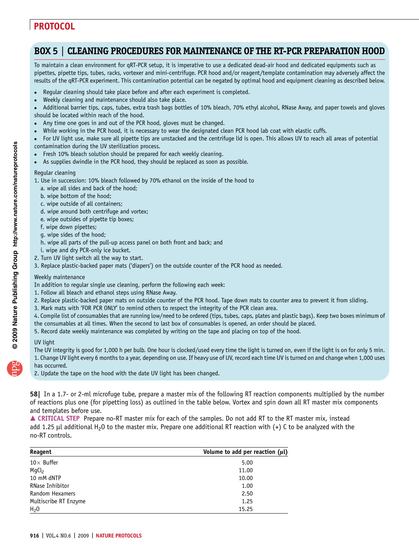## BOX 5 | CLEANING PROCEDURES FOR MAINTENANCE OF THE RT-PCR PREPARATION HOOD

To maintain a clean environment for qRT-PCR setup, it is imperative to use a dedicated dead-air hood and dedicated equipments such as pipettes, pipette tips, tubes, racks, vortexer and mini-centrifuge. PCR hood and/or reagent/template contamination may adversely affect the results of the qRT-PCR experiment. This contamination potential can be negated by optimal hood and equipment cleaning as described below.

- Regular cleaning should take place before and after each experiment is completed.
- Weekly cleaning and maintenance should also take place.

 Additional barrier tips, caps, tubes, extra trash bags bottles of 10% bleach, 70% ethyl alcohol, RNase Away, and paper towels and gloves should be located within reach of the hood.

- Any time one goes in and out of the PCR hood, gloves must be changed.
- While working in the PCR hood, it is necessary to wear the designated clean PCR hood lab coat with elastic cuffs.
- For UV light use, make sure all pipette tips are unstacked and the centrifuge lid is open. This allows UV to reach all areas of potential
- contamination during the UV sterilization process.
- Fresh 10% bleach solution should be prepared for each weekly cleaning.
- As supplies dwindle in the PCR hood, they should be replaced as soon as possible.

#### Regular cleaning

- 1. Use in succession: 10% bleach followed by 70% ethanol on the inside of the hood to
	- a. wipe all sides and back of the hood;
	- b. wipe bottom of the hood;
	- c. wipe outside of all containers;
	- d. wipe around both centrifuge and vortex;
	- e. wipe outsides of pipette tip boxes;
	- f. wipe down pipettes;
	- g. wipe sides of the hood;
	- h. wipe all parts of the pull-up access panel on both front and back; and
	- i. wipe and dry PCR-only ice bucket.
- 2. Turn UV light switch all the way to start.
- 3. Replace plastic-backed paper mats ('diapers') on the outside counter of the PCR hood as needed.

#### Weekly maintenance

- In addition to regular single use cleaning, perform the following each week:
- 1. Follow all bleach and ethanol steps using RNase Away.
- 2. Replace plastic-backed paper mats on outside counter of the PCR hood. Tape down mats to counter area to prevent it from sliding.
- 3. Mark mats with 'FOR PCR ONLY' to remind others to respect the integrity of the PCR clean area.
- 4. Compile list of consumables that are running low/need to be ordered (tips, tubes, caps, plates and plastic bags). Keep two boxes minimum of
- the consumables at all times. When the second to last box of consumables is opened, an order should be placed.
- 5. Record date weekly maintenance was completed by writing on the tape and placing on top of the hood.

#### UV light

The UV integrity is good for 1,000 h per bulb. One hour is clocked/used every time the light is turned on, even if the light is on for only 5 min. 1. Change UV light every 6 months to a year, depending on use. If heavy use of UV, record each time UV is turned on and change when 1,000 uses has occurred.

2. Update the tape on the hood with the date UV light has been changed.

58| In a 1.7- or 2-ml microfuge tube, prepare a master mix of the following RT reaction components multiplied by the number of reactions plus one (for pipetting loss) as outlined in the table below. Vortex and spin down all RT master mix components and templates before use.

▲ CRITICAL STEP Prepare no-RT master mix for each of the samples. Do not add RT to the RT master mix, instead add 1.25 µl additional H<sub>2</sub>O to the master mix. Prepare one additional RT reaction with  $(+)$  C to be analyzed with the no-RT controls.

| Reagent               | Volume to add per reaction (µl) |  |
|-----------------------|---------------------------------|--|
| $10\times$ Buffer     | 5.00                            |  |
| MqCl <sub>2</sub>     | 11.00                           |  |
| 10 mM dNTP            | 10.00                           |  |
| RNase Inhibitor       | 1.00                            |  |
| Random Hexamers       | 2.50                            |  |
| Multiscribe RT Enzyme | 1.25                            |  |
| H <sub>2</sub> 0      | 15.25                           |  |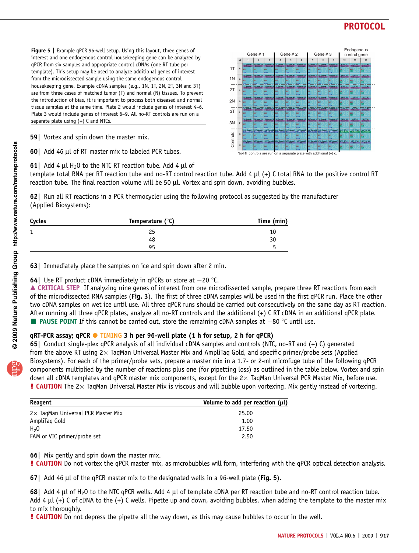**Figure 5** | Example qPCR 96-well setup. Using this layout, three genes of Gene #1 and  $\frac{1}{2}$  Gene #2 and one endogenous control housekeeping gene can be analyzed by interest and one endogenous control housekeeping gene can be analyzed by qPCR from six samples and appropriate control cDNAs (one RT tube per template). This setup may be used to analyze additional genes of interest from the microdissected sample using the same endogenous control housekeeping gene. Example cDNA samples (e.g., 1N, 1T, 2N, 2T, 3N and 3T) are from three cases of matched tumor (T) and normal (N) tissues. To prevent the introduction of bias, it is important to process both diseased and normal tissue samples at the same time. Plate 2 would include genes of interest 4–6. Plate 3 would include genes of interest 6–9. All no-RT controls are run on a separate plate using (+) C and NTCs.

59| Vortex and spin down the master mix.

60| Add 46 µl of RT master mix to labeled PCR tubes.



**61** Add 4 µl H<sub>2</sub>O to the NTC RT reaction tube. Add 4 µl of

template total RNA per RT reaction tube and no-RT control reaction tube. Add 4  $\mu$ l (+) C total RNA to the positive control RT reaction tube. The final reaction volume will be 50  $\mu$ l. Vortex and spin down, avoiding bubbles.

62| Run all RT reactions in a PCR thermocycler using the following protocol as suggested by the manufacturer (Applied Biosystems):

| <b>Cycles</b> | Temperature $(^\circ \mathsf{C})$ | Time (min) |
|---------------|-----------------------------------|------------|
| J.            | 25                                | 10         |
|               | 48                                | 30         |
|               | 95                                |            |

63| Immediately place the samples on ice and spin down after 2 min.

**64** Use RT product cDNA immediately in qPCRs or store at  $-20$  °C.

▲ CRITICAL STEP If analyzing nine genes of interest from one microdissected sample, prepare three RT reactions from each of the microdissected RNA samples (Fig. 3). The first of three cDNA samples will be used in the first qPCR run. Place the other two cDNA samples on wet ice until use. All three qPCR runs should be carried out consecutively on the same day as RT reaction. After running all three qPCR plates, analyze all no-RT controls and the additional (+) C RT cDNA in an additional qPCR plate. **E** PAUSE POINT If this cannot be carried out, store the remaining cDNA samples at  $-80^{\circ}$ C until use.

### qRT-PCR assay; qPCR **TIMING** 3 h per 96-well plate (1 h for setup, 2 h for qPCR)

65| Conduct single-plex qPCR analysis of all individual cDNA samples and controls (NTC, no-RT and (+) C) generated from the above RT using 2 $\times$  TaqMan Universal Master Mix and AmpliTaq Gold, and specific primer/probe sets (Applied Biosystems). For each of the primer/probe sets, prepare a master mix in a 1.7- or 2-ml microfuge tube of the following qPCR components multiplied by the number of reactions plus one (for pipetting loss) as outlined in the table below. Vortex and spin down all <code>cDNA</code> templates and <code>qPCR</code> master mix components, except for the 2 $\times$  TaqMan Universal PCR Master Mix, before use. **EXECUTION** The 2× TaqMan Universal Master Mix is viscous and will bubble upon vortexing. Mix gently instead of vortexing.

| Reagent                                   | Volume to add per reaction $(\mu l)$ |  |
|-------------------------------------------|--------------------------------------|--|
| $2\times$ TagMan Universal PCR Master Mix | 25.00                                |  |
| AmpliTag Gold                             | 1.00                                 |  |
| H <sub>2</sub> 0                          | 17.50                                |  |
| FAM or VIC primer/probe set               | 2.50                                 |  |

**66** Mix gently and spin down the master mix.

! CAUTION Do not vortex the qPCR master mix, as microbubbles will form, interfering with the qPCR optical detection analysis.

67| Add 46  $\mu$ l of the qPCR master mix to the designated wells in a 96-well plate (Fig. 5).

68| Add 4 µl of H<sub>2</sub>O to the NTC qPCR wells. Add 4 µl of template cDNA per RT reaction tube and no-RT control reaction tube. Add 4  $\mu$ l (+) C of cDNA to the (+) C wells. Pipette up and down, avoiding bubbles, when adding the template to the master mix to mix thoroughly.

**! CAUTION** Do not depress the pipette all the way down, as this may cause bubbles to occur in the well.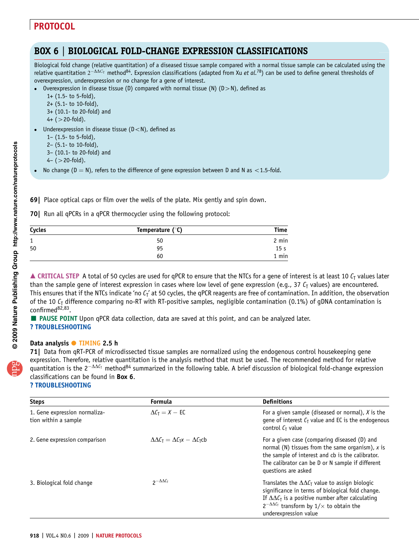### BOX 6 | BIOLOGICAL FOLD-CHANGE EXPRESSION CLASSIFICATIONS

Biological fold change (relative quantitation) of a diseased tissue sample compared with a normal tissue sample can be calculated using the relative quantitation 2 $^{-\Delta\Delta C_T}$  method<sup>84</sup>. Expression classifications (adapted from Xu *et al.*<sup>78</sup>) can be used to define general thresholds of overexpression, underexpression or no change for a gene of interest.

Overexpression in disease tissue (D) compared with normal tissue (N)  $(D>N)$ , defined as

- 1+ (1.5- to 5-fold),
- 2+ (5.1- to 10-fold),
- 3+ (10.1- to 20-fold) and
- $4+$  ( $>$ 20-fold).
- Underexpression in disease tissue ( $D < N$ ), defined as
	- 1– (1.5- to 5-fold),
	- 2– (5.1- to 10-fold),
	- 3– (10.1- to 20-fold) and
	- $4-$  ( $>$ 20-fold).
- No change ( $D = N$ ), refers to the difference of gene expression between D and N as < 1.5-fold.

69| Place optical caps or film over the wells of the plate. Mix gently and spin down.

70| Run all qPCRs in a qPCR thermocycler using the following protocol:

| Cycles | Temperature $(^\circ \mathsf{C})$ | <b>Time</b>     |
|--------|-----------------------------------|-----------------|
| 1      | 50                                | 2 min           |
| 50     | 95                                | 15 <sub>s</sub> |
|        | 60                                | 1 min           |

**A CRITICAL STEP** A total of 50 cycles are used for qPCR to ensure that the NTCs for a gene of interest is at least 10  $C<sub>T</sub>$  values later than the sample gene of interest expression in cases where low level of gene expression (e.g., 37  $C<sub>T</sub>$  values) are encountered. This ensures that if the NTCs indicate 'no  $C_T$ ' at 50 cycles, the qPCR reagents are free of contamination. In addition, the observation of the 10  $C<sub>T</sub>$  difference comparing no-RT with RT-positive samples, negligible contamination (0.1%) of gDNA contamination is confirmed<sup>82,83</sup>.

**PAUSE POINT** Upon qPCR data collection, data are saved at this point, and can be analyzed later.

### ? TROUBLESHOOTING

### Data analysis • TIMING 2.5 h

71| Data from qRT-PCR of microdissected tissue samples are normalized using the endogenous control housekeeping gene expression. Therefore, relative quantitation is the analysis method that must be used. The recommended method for relative quantitation is the  $2^{-\Delta\Delta C_T}$  method<sup>84</sup> summarized in the following table. A brief discussion of biological fold-change expression classifications can be found in Box 6.

? TROUBLESHOOTING

| <b>Steps</b>                                          | Formula                                                                                                                   | <b>Definitions</b>                                                                                                                                                                                                                                                                            |
|-------------------------------------------------------|---------------------------------------------------------------------------------------------------------------------------|-----------------------------------------------------------------------------------------------------------------------------------------------------------------------------------------------------------------------------------------------------------------------------------------------|
| 1. Gene expression normaliza-<br>tion within a sample | $\Delta C_T = X - EC$                                                                                                     | For a given sample (diseased or normal), $X$ is the<br>gene of interest $CT$ value and EC is the endogenous<br>control $C_T$ value                                                                                                                                                            |
| 2. Gene expression comparison                         | $\Delta\Delta\mathcal{C}_{\mathsf{T}}=\Delta\mathcal{C}_{\mathsf{T}}\mathsf{x}-\Delta\mathcal{C}_{\mathsf{T}}\mathsf{cb}$ | For a given case (comparing diseased (D) and<br>normal (N) tissues from the same organism), $x$ is<br>the sample of interest and cb is the calibrator.<br>The calibrator can be D or N sample if different<br>questions are asked                                                             |
| 3. Biological fold change                             | $2 - \Delta\Delta\mathcal{C}_T$                                                                                           | Translates the $\Delta\Delta\zeta_T$ value to assign biologic<br>significance in terms of biological fold change.<br>If $\Delta\Delta\mathcal{C}_I$ is a positive number after calculating<br>$2^{-\Delta\Delta C_{\text{T}}}$ transform by $1/\times$ to obtain the<br>underexpression value |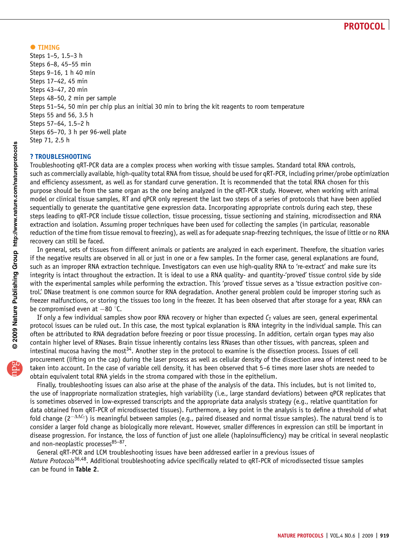**• TIMING** 

Steps 1–5, 1.5–3 h Steps 6–8, 45–55 min Steps 9–16, 1 h 40 min Steps 17–42, 45 min Steps 43–47, 20 min Steps 48–50, 2 min per sample Steps 51–54, 50 min per chip plus an initial 30 min to bring the kit reagents to room temperature Steps 55 and 56, 3.5 h Steps 57–64, 1.5–2 h Steps 65–70, 3 h per 96-well plate Step 71, 2.5 h

### ? TROUBLESHOOTING

Troubleshooting qRT-PCR data are a complex process when working with tissue samples. Standard total RNA controls, such as commercially available, high-quality total RNA from tissue, should be used for qRT-PCR, including primer/probe optimization and efficiency assessment, as well as for standard curve generation. It is recommended that the total RNA chosen for this purpose should be from the same organ as the one being analyzed in the qRT-PCR study. However, when working with animal model or clinical tissue samples, RT and qPCR only represent the last two steps of a series of protocols that have been applied sequentially to generate the quantitative gene expression data. Incorporating appropriate controls during each step, these steps leading to qRT-PCR include tissue collection, tissue processing, tissue sectioning and staining, microdissection and RNA extraction and isolation. Assuming proper techniques have been used for collecting the samples (in particular, reasonable reduction of the time from tissue removal to freezing), as well as for adequate snap-freezing techniques, the issue of little or no RNA recovery can still be faced.

In general, sets of tissues from different animals or patients are analyzed in each experiment. Therefore, the situation varies if the negative results are observed in all or just in one or a few samples. In the former case, general explanations are found, such as an improper RNA extraction technique. Investigators can even use high-quality RNA to 're-extract' and make sure its integrity is intact throughout the extraction. It is ideal to use a RNA quality- and quantity-'proved' tissue control side by side with the experimental samples while performing the extraction. This 'proved' tissue serves as a 'tissue extraction positive control.' DNase treatment is one common source for RNA degradation. Another general problem could be improper storing such as freezer malfunctions, or storing the tissues too long in the freezer. It has been observed that after storage for a year, RNA can be compromised even at  $-80$  °C.

If only a few individual samples show poor RNA recovery or higher than expected  $C_T$  values are seen, general experimental protocol issues can be ruled out. In this case, the most typical explanation is RNA integrity in the individual sample. This can often be attributed to RNA degradation before freezing or poor tissue processing. In addition, certain organ types may also contain higher level of RNases. Brain tissue inherently contains less RNases than other tissues, with pancreas, spleen and intestinal mucosa having the most $34$ . Another step in the protocol to examine is the dissection process. Issues of cell procurement (lifting on the cap) during the laser process as well as cellular density of the dissection area of interest need to be taken into account. In the case of variable cell density, it has been observed that 5–6 times more laser shots are needed to obtain equivalent total RNA yields in the stroma compared with those in the epithelium.

Finally, troubleshooting issues can also arise at the phase of the analysis of the data. This includes, but is not limited to, the use of inappropriate normalization strategies, high variability (i.e., large standard deviations) between qPCR replicates that is sometimes observed in low-expressed transcripts and the appropriate data analysis strategy (e.g., relative quantitation for data obtained from qRT-PCR of microdissected tissues). Furthermore, a key point in the analysis is to define a threshold of what fold change  $(2^{-\Delta\Delta C_{T}})$  is meaningful between samples (e.g., paired diseased and normal tissue samples). The natural trend is to consider a larger fold change as biologically more relevant. However, smaller differences in expression can still be important in disease progression. For instance, the loss of function of just one allele (haploinsufficiency) may be critical in several neoplastic and non-neoplastic processes85-87.

General qRT-PCR and LCM troubleshooting issues have been addressed earlier in a previous issues of Nature Protocols<sup>36,48</sup>. Additional troubleshooting advice specifically related to qRT-PCR of microdissected tissue samples can be found in Table 2.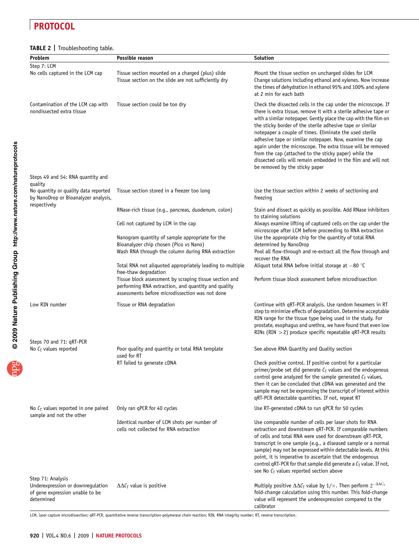TABLE 2 | Troubleshooting table.

| Problem                                                                                                 | <b>Possible reason</b>                                                                                                                                           | Solution                                                                                                                                                                                                                                                                                                                                                                                                                                                                                                                                                                                                             |
|---------------------------------------------------------------------------------------------------------|------------------------------------------------------------------------------------------------------------------------------------------------------------------|----------------------------------------------------------------------------------------------------------------------------------------------------------------------------------------------------------------------------------------------------------------------------------------------------------------------------------------------------------------------------------------------------------------------------------------------------------------------------------------------------------------------------------------------------------------------------------------------------------------------|
| Step 7: LCM                                                                                             |                                                                                                                                                                  |                                                                                                                                                                                                                                                                                                                                                                                                                                                                                                                                                                                                                      |
| No cells captured in the LCM cap                                                                        | Tissue section mounted on a charged (plus) slide<br>Tissue section on the slide are not sufficiently dry                                                         | Mount the tissue section on uncharged slides for LCM<br>Change solutions including ethanol and xylenes. Now increase<br>the times of dehydration in ethanol 95% and 100% and xylene<br>at 2 min for each bath                                                                                                                                                                                                                                                                                                                                                                                                        |
| Contamination of the LCM cap with<br>nondissected extra tissue                                          | Tissue section could be too dry                                                                                                                                  | Check the dissected cells in the cap under the microscope. If<br>there is extra tissue, remove it with a sterile adhesive tape or<br>with a similar notepaper. Gently place the cap with the film on<br>the sticky border of the sterile adhesive tape or similar<br>notepaper a couple of times. Eliminate the used sterile<br>adhesive tape or similar notepaper. Now, examine the cap<br>again under the microscope. The extra tissue will be removed<br>from the cap (attached to the sticky paper) while the<br>dissected cells will remain embedded in the film and will not<br>be removed by the sticky paper |
| Steps 49 and 54: RNA quantity and<br>quality                                                            |                                                                                                                                                                  |                                                                                                                                                                                                                                                                                                                                                                                                                                                                                                                                                                                                                      |
| No quantity or quality data reported<br>by NanoDrop or Bioanalyzer analysis,<br>respectively            | Tissue section stored in a freezer too long                                                                                                                      | Use the tissue section within 2 weeks of sectioning and<br>freezing                                                                                                                                                                                                                                                                                                                                                                                                                                                                                                                                                  |
|                                                                                                         | RNase-rich tissue (e.g., pancreas, duodenum, colon)                                                                                                              | Stain and dissect as quickly as possible. Add RNase inhibitors<br>to staining solutions                                                                                                                                                                                                                                                                                                                                                                                                                                                                                                                              |
|                                                                                                         | Cell not captured by LCM in the cap                                                                                                                              | Always examine lifting of captured cells on the cap under the<br>microscope after LCM before proceeding to RNA extraction                                                                                                                                                                                                                                                                                                                                                                                                                                                                                            |
|                                                                                                         | Nanogram quantity of sample appropriate for the<br>Bioanalyzer chip chosen (Pico vs Nano)<br>Wash RNA through the column during RNA extraction                   | Use the appropriate chip for the quantity of total RNA<br>determined by NanoDrop<br>Pool all flow-through and re-extract all the flow through and<br>recover the RNA                                                                                                                                                                                                                                                                                                                                                                                                                                                 |
|                                                                                                         | Total RNA not aliquoted appropriately leading to multiple<br>free-thaw degradation                                                                               | Aliquot total RNA before initial storage at $-80$ °C                                                                                                                                                                                                                                                                                                                                                                                                                                                                                                                                                                 |
|                                                                                                         | Tissue block assessment by scraping tissue section and<br>performing RNA extraction, and quantity and quality<br>assessments before microdissection was not done | Perform tissue block assessment before microdissection                                                                                                                                                                                                                                                                                                                                                                                                                                                                                                                                                               |
| Low RIN number                                                                                          | Tissue or RNA degradation                                                                                                                                        | Continue with qRT-PCR analysis. Use random hexamers in RT<br>step to minimize effects of degradation. Determine acceptable<br>RIN range for the tissue type being used in the study. For<br>prostate, esophagus and urethra, we have found that even low<br>RINs (RIN $>$ 2) produce specific repeatable qRT-PCR results                                                                                                                                                                                                                                                                                             |
| Steps 70 and 71: qRT-PCR<br>No $CT$ values reported                                                     | Poor quality and quantity or total RNA template<br>used for RT                                                                                                   | See above RNA Quantity and Quality section                                                                                                                                                                                                                                                                                                                                                                                                                                                                                                                                                                           |
|                                                                                                         | RT failed to generate cDNA                                                                                                                                       | Check positive control. If positive control for a particular<br>primer/probe set did generate $C_T$ values and the endogenous<br>control gene analyzed for the sample generated $CT$ values,<br>then it can be concluded that cDNA was generated and the<br>sample may not be expressing the transcript of interest within<br>qRT-PCR detectable quantities. If not, repeat RT                                                                                                                                                                                                                                       |
| No $CT$ values reported in one paired<br>sample and not the other                                       | Only ran qPCR for 40 cycles                                                                                                                                      | Use RT-generated cDNA to run gPCR for 50 cycles                                                                                                                                                                                                                                                                                                                                                                                                                                                                                                                                                                      |
|                                                                                                         | Identical number of LCM shots per number of<br>cells not collected for RNA extraction                                                                            | Use comparable number of cells per laser shots for RNA<br>extraction and downstream gRT-PCR. If comparable numbers<br>of cells and total RNA were used for downstream qRT-PCR,<br>transcript in one sample (e.g., a diseased sample or a normal<br>sample) may not be expressed within detectable levels. At this<br>point, it is imperative to ascertain that the endogenous<br>control qRT-PCR for that sample did generate a $CT$ value. If not,<br>see No $C_T$ values reported section above                                                                                                                    |
| Step 71: Analysis<br>Underexpression or downregulation<br>of gene expression unable to be<br>determined | $\Delta\Delta\mathcal{C}_{\mathsf{T}}$ value is positive                                                                                                         | Multiply positive $\Delta\Delta\mathcal{C}_{\text{T}}$ value by $1/\times$ . Then perform $2^{-\Delta\Delta C_{\text{T}}}$<br>fold-change calculation using this number. This fold-change<br>value will represent the underexpression compared to the<br>calibrator                                                                                                                                                                                                                                                                                                                                                  |

LCM, laser capture microdissection; qRT-PCR, quantitative reverse transcription-polymerase chain reaction; RIN, RNA integrity number; RT, reverse transcription.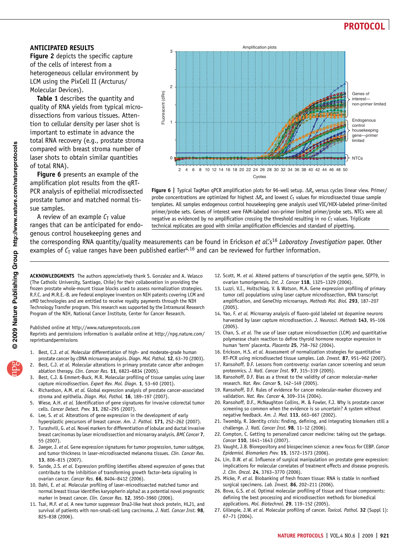### ANTICIPATED RESULTS

Figure 2 depicts the specific capture of the cells of interest from a heterogeneous cellular environment by LCM using the PixCell II (Arcturus/ Molecular Devices).

Table 1 describes the quantity and quality of RNA yields from typical microdissections from various tissues. Attention to cellular density per laser shot is important to estimate in advance the total RNA recovery (e.g., prostate stroma compared with breast stroma number of laser shots to obtain similar quantities of total RNA).

Figure 6 presents an example of the amplification plot results from the qRT-PCR analysis of epithelial microdissected prostate tumor and matched normal tissue samples.

A review of an example  $C_T$  value ranges that can be anticipated for endogenous control housekeeping genes and



Figure 6 | Typical TaqMan qPCR amplification plots for 96-well setup.  $\Delta R_n$  versus cycles linear view. Primer/ probe concentrations are optimized for highest  $\Delta R_n$  and lowest  $C_T$  values for microdissected tissue sample templates. All samples endogenous control housekeeping gene analysis used VIC/HEX-labeled primer-limited primer/probe sets. Genes of interest were FAM-labeled non-primer limited primer/probe sets. NTCs were all negative as evidenced by no amplification crossing the threshold resulting in no  $C<sub>T</sub>$  values. Triplicate technical replicates are good with similar amplification efficiencies and standard of pipetting.

the corresponding RNA quantity/quality measurements can be found in Erickson et al.'s<sup>16</sup> Laboratory Investigation paper. Other examples of  $C_T$  value ranges have been published earlier<sup>4,16</sup> and can be reviewed for further information.

ACKNOWLEDGMENTS The authors appreciatively thank S. Gonzalez and A. Velasco (The Catholic University, Santiago, Chile) for their collaboration in providing the frozen prostate whole-mount tissue blocks used to assess normalization strategies. R.F.C. and M.R.E.-B. are Federal employee inventors on NIH patents covering LCM and xMD technologies and are entitled to receive royalty payments through the NIH Technology Transfer program. This research was supported by the Intramural Research Program of the NIH, National Cancer Institute, Center for Cancer Research.

#### Published online at http://www.natureprotocols.com

Reprints and permissions information is available online at http://npg.nature.com/ reprintsandpermissions

- 1. Best, C.J. et al. Molecular differentiation of high- and moderate-grade human prostate cancer by cDNA microarray analysis. Diagn. Mol. Pathol. 12, 63-70 (2003).
- Best, C.J. et al. Molecular alterations in primary prostate cancer after androgen ablation therapy. Clin. Cancer Res. 11, 6823-6834 (2005).
- Best, C.J. & Emmert-Buck, M.R. Molecular profiling of tissue samples using laser capture microdissection. Expert Rev. Mol. Diagn. 1, 53-60 (2001).
- 4. Richardson, A.M. et al. Global expression analysis of prostate cancer-associated stroma and epithelia. Diagn. Mol. Pathol. 16, 189–197 (2007).
- 5. Wiese, A.H. et al. Identification of gene signatures for invasive colorectal tumor cells. Cancer Detect. Prev. 31, 282–295 (2007).
- 6. Lee, S. et al. Alterations of gene expression in the development of early hyperplastic precursors of breast cancer. Am. J. Pathol. 171, 252-262 (2007).
- 7. Turashvili, G. et al. Novel markers for differentiation of lobular and ductal invasive breast carcinomas by laser microdissection and microarray analysis. BMC Cancer 7, 55 (2007).
- 8. Jaeger, J. et al. Gene expression signatures for tumor progression, tumor subtype, and tumor thickness in laser-microdissected melanoma tissues. Clin. Cancer Res. 13, 806–815 (2007).
- 9. Sunde, J.S. et al. Expression profiling identifies altered expression of genes that contribute to the inhibition of transforming growth factor-beta signaling in ovarian cancer. Cancer Res. 66, 8404–8412 (2006).
- 10. Dahl, E. et al. Molecular profiling of laser-microdissected matched tumor and normal breast tissue identifies karyopherin alpha2 as a potential novel prognostic marker in breast cancer. Clin. Cancer Res. 12, 3950-3960 (2006).
- 11. Tsai, M.F. et al. A new tumor suppressor DnaJ-like heat shock protein, HLJ1, and survival of patients with non-small-cell lung carcinoma. J. Natl. Cancer Inst. 98, 825–838 (2006).
- 12. Scott, M. et al. Altered patterns of transcription of the septin gene, SEPT9, in ovarian tumorigenesis. Int. J. Cancer 118, 1325–1329 (2006).
- 13. Luzzi, V.I., Holtschlag, V. & Watson, M.A. Gene expression profiling of primary tumor cell populations using laser capture microdissection, RNA transcript amplification, and GeneChip microarrays. Methods Mol. Biol. 293, 187–207 (2005).
- 14. Yao, F. et al. Microarray analysis of fluoro-gold labeled rat dopamine neurons harvested by laser capture microdissection. J. Neurosci. Methods 143, 95-106 (2005).
- 15. Chan, S. et al. The use of laser capture microdissection (LCM) and quantitative polymerase chain reaction to define thyroid hormone receptor expression in human 'term' placenta. Placenta 25, 758–762 (2004).
- 16. Erickson, H.S. et al. Assessment of normalization strategies for quantitative RT-PCR using microdissected tissue samples. Lab. Invest. 87, 951–962 (2007).
- 17. Ransohoff, D.F. Lessons from controversy: ovarian cancer screening and serum proteomics. J. Natl. Cancer Inst. 97, 315–319 (2005).
- 18. Ransohoff, D.F. Bias as a threat to the validity of cancer molecular-marker research. Nat. Rev. Cancer 5, 142–149 (2005).
- 19. Ransohoff, D.F. Rules of evidence for cancer molecular-marker discovery and validation. Nat. Rev. Cancer 4, 309–314 (2004).
- 20. Ransohoff, D.F., McNaughton Collins, M. & Fowler, F.J. Why is prostate cancer screening so common when the evidence is so uncertain? A system without negative feedback. Am. J. Med. 113, 663–667 (2002).
- 21. Twombly, R. Identity crisis: finding, defining, and integrating biomarkers still a challenge. J. Natl. Cancer Inst. 98, 11–12 (2006).
- 22. Compton, C. Getting to personalized cancer medicine: taking out the garbage. Cancer 110, 1641–1643 (2007).
- 23. Vaught, J.B. Biorepository and biospecimen science: a new focus for CEBP. Cancer Epidemiol. Biomarkers Prev. 15, 1572–1573 (2006).
- 24. Lin, D.W. et al. Influence of surgical manipulation on prostate gene expression: implications for molecular correlates of treatment effects and disease prognosis. J. Clin. Oncol. 24, 3763–3770 (2006).
- 25. Micke, P. et al. Biobanking of fresh frozen tissue: RNA is stable in nonfixed surgical specimens. Lab. Invest. 86, 202-211 (2006).
- 26. Bova, G.S. et al. Optimal molecular profiling of tissue and tissue components: defining the best processing and microdissection methods for biomedical applications. Mol. Biotechnol. 29, 119–152 (2005).
- 27. Gillespie, J.W. et al. Molecular profiling of cancer. Toxicol. Pathol. 32 (Suppl 1): 67–71 (2004).